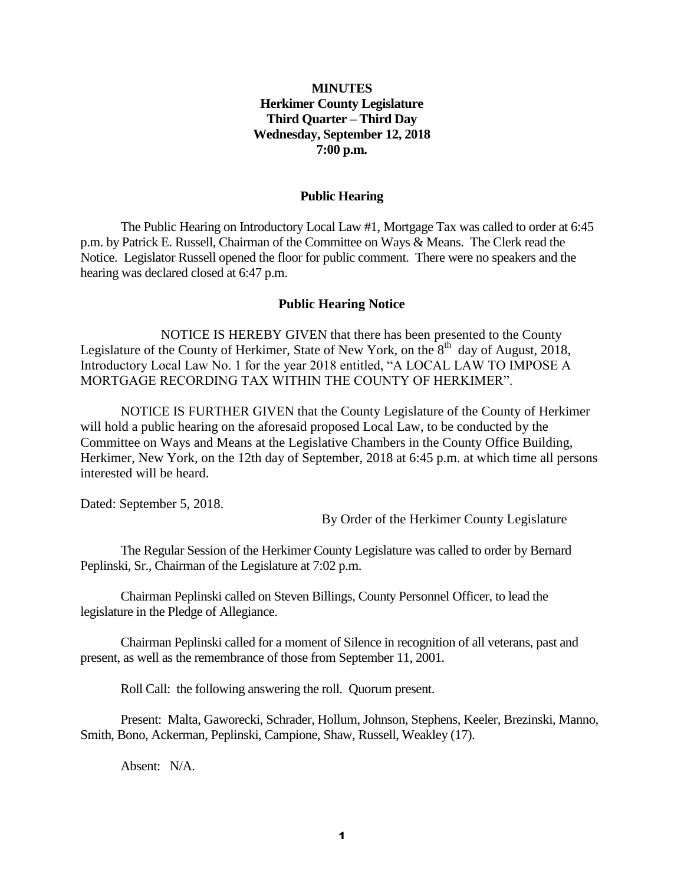# **MINUTES Herkimer County Legislature Third Quarter – Third Day Wednesday, September 12, 2018 7:00 p.m.**

#### **Public Hearing**

The Public Hearing on Introductory Local Law #1, Mortgage Tax was called to order at 6:45 p.m. by Patrick E. Russell, Chairman of the Committee on Ways & Means. The Clerk read the Notice. Legislator Russell opened the floor for public comment. There were no speakers and the hearing was declared closed at 6:47 p.m.

#### **Public Hearing Notice**

NOTICE IS HEREBY GIVEN that there has been presented to the County Legislature of the County of Herkimer, State of New York, on the  $8<sup>th</sup>$  day of August, 2018, Introductory Local Law No. 1 for the year 2018 entitled, "A LOCAL LAW TO IMPOSE A MORTGAGE RECORDING TAX WITHIN THE COUNTY OF HERKIMER".

NOTICE IS FURTHER GIVEN that the County Legislature of the County of Herkimer will hold a public hearing on the aforesaid proposed Local Law, to be conducted by the Committee on Ways and Means at the Legislative Chambers in the County Office Building, Herkimer, New York, on the 12th day of September, 2018 at 6:45 p.m. at which time all persons interested will be heard.

Dated: September 5, 2018.

By Order of the Herkimer County Legislature

The Regular Session of the Herkimer County Legislature was called to order by Bernard Peplinski, Sr., Chairman of the Legislature at 7:02 p.m.

Chairman Peplinski called on Steven Billings, County Personnel Officer, to lead the legislature in the Pledge of Allegiance.

Chairman Peplinski called for a moment of Silence in recognition of all veterans, past and present, as well as the remembrance of those from September 11, 2001.

Roll Call: the following answering the roll. Quorum present.

Present: Malta, Gaworecki, Schrader, Hollum, Johnson, Stephens, Keeler, Brezinski, Manno, Smith, Bono, Ackerman, Peplinski, Campione, Shaw, Russell, Weakley (17).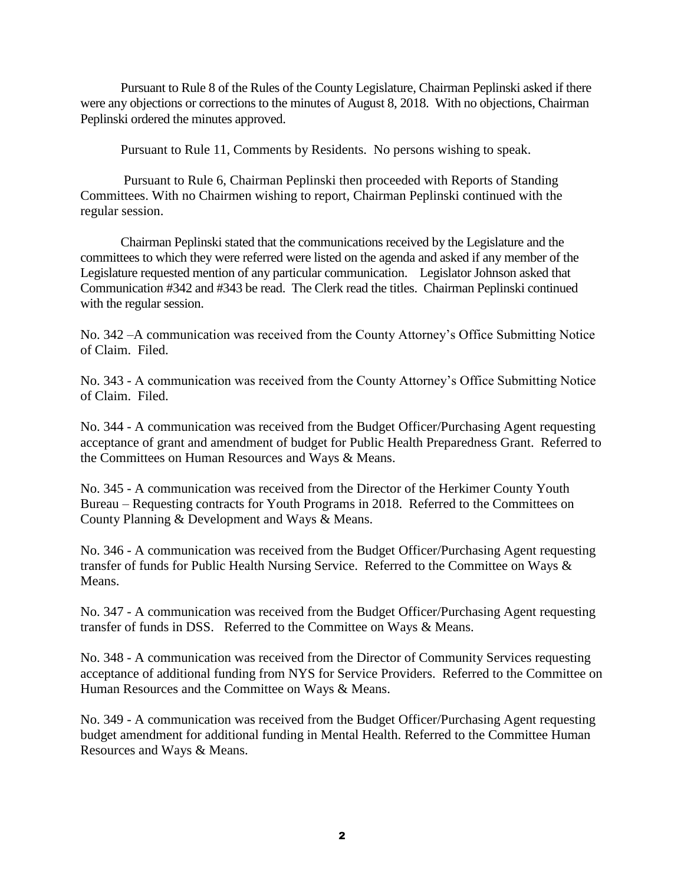Pursuant to Rule 8 of the Rules of the County Legislature, Chairman Peplinski asked if there were any objections or corrections to the minutes of August 8, 2018. With no objections, Chairman Peplinski ordered the minutes approved.

Pursuant to Rule 11, Comments by Residents. No persons wishing to speak.

Pursuant to Rule 6, Chairman Peplinski then proceeded with Reports of Standing Committees. With no Chairmen wishing to report, Chairman Peplinski continued with the regular session.

Chairman Peplinski stated that the communications received by the Legislature and the committees to which they were referred were listed on the agenda and asked if any member of the Legislature requested mention of any particular communication. Legislator Johnson asked that Communication #342 and #343 be read. The Clerk read the titles. Chairman Peplinski continued with the regular session.

No. 342 –A communication was received from the County Attorney's Office Submitting Notice of Claim. Filed.

No. 343 - A communication was received from the County Attorney's Office Submitting Notice of Claim. Filed.

No. 344 - A communication was received from the Budget Officer/Purchasing Agent requesting acceptance of grant and amendment of budget for Public Health Preparedness Grant. Referred to the Committees on Human Resources and Ways & Means.

No. 345 - A communication was received from the Director of the Herkimer County Youth Bureau – Requesting contracts for Youth Programs in 2018. Referred to the Committees on County Planning & Development and Ways & Means.

No. 346 - A communication was received from the Budget Officer/Purchasing Agent requesting transfer of funds for Public Health Nursing Service. Referred to the Committee on Ways & Means.

No. 347 - A communication was received from the Budget Officer/Purchasing Agent requesting transfer of funds in DSS. Referred to the Committee on Ways & Means.

No. 348 - A communication was received from the Director of Community Services requesting acceptance of additional funding from NYS for Service Providers. Referred to the Committee on Human Resources and the Committee on Ways & Means.

No. 349 - A communication was received from the Budget Officer/Purchasing Agent requesting budget amendment for additional funding in Mental Health. Referred to the Committee Human Resources and Ways & Means.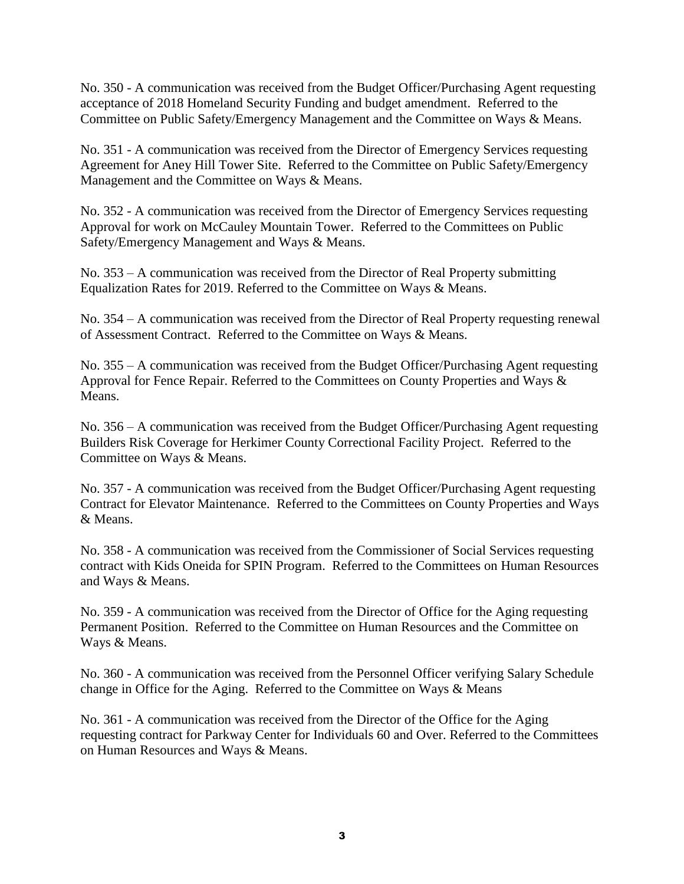No. 350 - A communication was received from the Budget Officer/Purchasing Agent requesting acceptance of 2018 Homeland Security Funding and budget amendment. Referred to the Committee on Public Safety/Emergency Management and the Committee on Ways & Means.

No. 351 - A communication was received from the Director of Emergency Services requesting Agreement for Aney Hill Tower Site. Referred to the Committee on Public Safety/Emergency Management and the Committee on Ways & Means.

No. 352 - A communication was received from the Director of Emergency Services requesting Approval for work on McCauley Mountain Tower. Referred to the Committees on Public Safety/Emergency Management and Ways & Means.

No. 353 – A communication was received from the Director of Real Property submitting Equalization Rates for 2019. Referred to the Committee on Ways & Means.

No. 354 – A communication was received from the Director of Real Property requesting renewal of Assessment Contract. Referred to the Committee on Ways & Means.

No. 355 – A communication was received from the Budget Officer/Purchasing Agent requesting Approval for Fence Repair. Referred to the Committees on County Properties and Ways & Means.

No. 356 – A communication was received from the Budget Officer/Purchasing Agent requesting Builders Risk Coverage for Herkimer County Correctional Facility Project. Referred to the Committee on Ways & Means.

No. 357 - A communication was received from the Budget Officer/Purchasing Agent requesting Contract for Elevator Maintenance. Referred to the Committees on County Properties and Ways & Means.

No. 358 - A communication was received from the Commissioner of Social Services requesting contract with Kids Oneida for SPIN Program. Referred to the Committees on Human Resources and Ways & Means.

No. 359 - A communication was received from the Director of Office for the Aging requesting Permanent Position. Referred to the Committee on Human Resources and the Committee on Ways & Means.

No. 360 - A communication was received from the Personnel Officer verifying Salary Schedule change in Office for the Aging. Referred to the Committee on Ways & Means

No. 361 - A communication was received from the Director of the Office for the Aging requesting contract for Parkway Center for Individuals 60 and Over. Referred to the Committees on Human Resources and Ways & Means.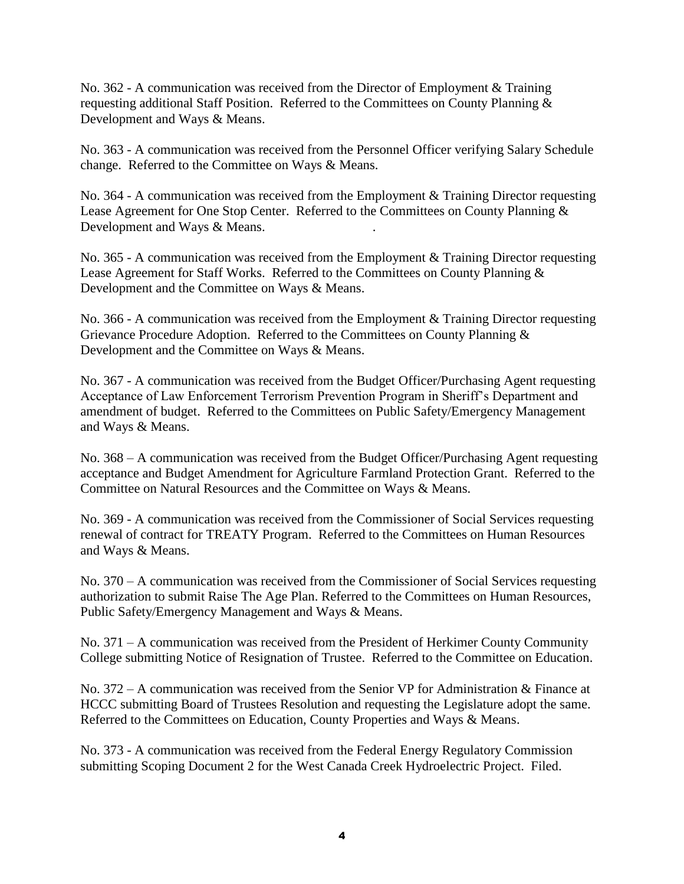No. 362 - A communication was received from the Director of Employment & Training requesting additional Staff Position. Referred to the Committees on County Planning & Development and Ways & Means.

No. 363 - A communication was received from the Personnel Officer verifying Salary Schedule change. Referred to the Committee on Ways & Means.

No. 364 - A communication was received from the Employment & Training Director requesting Lease Agreement for One Stop Center. Referred to the Committees on County Planning & Development and Ways & Means. .

No. 365 - A communication was received from the Employment & Training Director requesting Lease Agreement for Staff Works. Referred to the Committees on County Planning & Development and the Committee on Ways & Means.

No. 366 - A communication was received from the Employment & Training Director requesting Grievance Procedure Adoption. Referred to the Committees on County Planning & Development and the Committee on Ways & Means.

No. 367 - A communication was received from the Budget Officer/Purchasing Agent requesting Acceptance of Law Enforcement Terrorism Prevention Program in Sheriff's Department and amendment of budget. Referred to the Committees on Public Safety/Emergency Management and Ways & Means.

No. 368 – A communication was received from the Budget Officer/Purchasing Agent requesting acceptance and Budget Amendment for Agriculture Farmland Protection Grant. Referred to the Committee on Natural Resources and the Committee on Ways & Means.

No. 369 - A communication was received from the Commissioner of Social Services requesting renewal of contract for TREATY Program. Referred to the Committees on Human Resources and Ways & Means.

No. 370 – A communication was received from the Commissioner of Social Services requesting authorization to submit Raise The Age Plan. Referred to the Committees on Human Resources, Public Safety/Emergency Management and Ways & Means.

No. 371 – A communication was received from the President of Herkimer County Community College submitting Notice of Resignation of Trustee. Referred to the Committee on Education.

No. 372 – A communication was received from the Senior VP for Administration & Finance at HCCC submitting Board of Trustees Resolution and requesting the Legislature adopt the same. Referred to the Committees on Education, County Properties and Ways & Means.

No. 373 - A communication was received from the Federal Energy Regulatory Commission submitting Scoping Document 2 for the West Canada Creek Hydroelectric Project. Filed.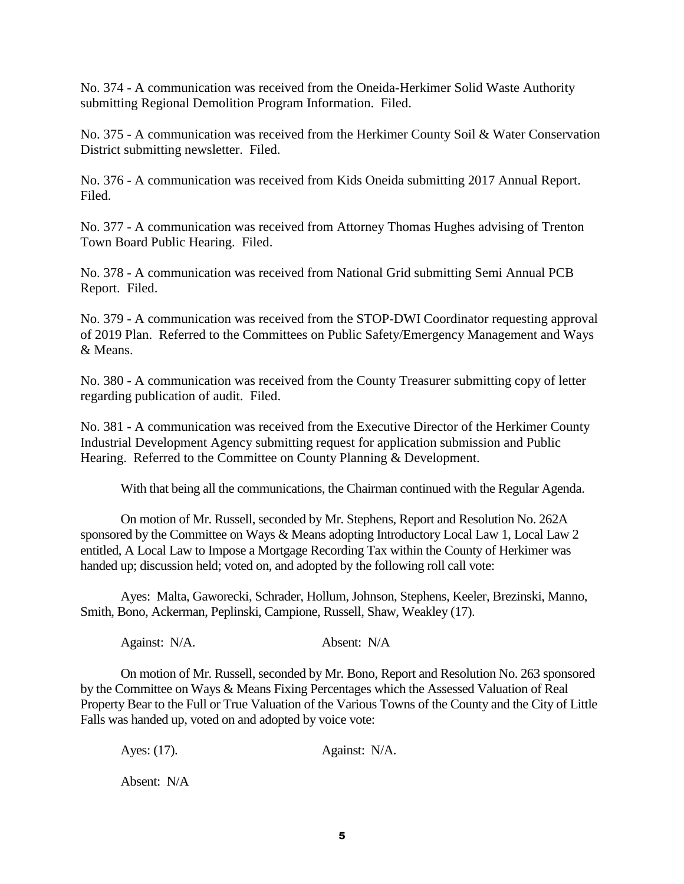No. 374 - A communication was received from the Oneida-Herkimer Solid Waste Authority submitting Regional Demolition Program Information. Filed.

No. 375 - A communication was received from the Herkimer County Soil & Water Conservation District submitting newsletter. Filed.

No. 376 - A communication was received from Kids Oneida submitting 2017 Annual Report. Filed.

No. 377 - A communication was received from Attorney Thomas Hughes advising of Trenton Town Board Public Hearing. Filed.

No. 378 - A communication was received from National Grid submitting Semi Annual PCB Report. Filed.

No. 379 - A communication was received from the STOP-DWI Coordinator requesting approval of 2019 Plan. Referred to the Committees on Public Safety/Emergency Management and Ways & Means.

No. 380 - A communication was received from the County Treasurer submitting copy of letter regarding publication of audit. Filed.

No. 381 - A communication was received from the Executive Director of the Herkimer County Industrial Development Agency submitting request for application submission and Public Hearing. Referred to the Committee on County Planning & Development.

With that being all the communications, the Chairman continued with the Regular Agenda.

On motion of Mr. Russell, seconded by Mr. Stephens, Report and Resolution No. 262A sponsored by the Committee on Ways & Means adopting Introductory Local Law 1, Local Law 2 entitled, A Local Law to Impose a Mortgage Recording Tax within the County of Herkimer was handed up; discussion held; voted on, and adopted by the following roll call vote:

Ayes: Malta, Gaworecki, Schrader, Hollum, Johnson, Stephens, Keeler, Brezinski, Manno, Smith, Bono, Ackerman, Peplinski, Campione, Russell, Shaw, Weakley (17).

Against: N/A. Absent: N/A

On motion of Mr. Russell, seconded by Mr. Bono, Report and Resolution No. 263 sponsored by the Committee on Ways & Means Fixing Percentages which the Assessed Valuation of Real Property Bear to the Full or True Valuation of the Various Towns of the County and the City of Little Falls was handed up, voted on and adopted by voice vote:

Ayes: (17). Against: N/A.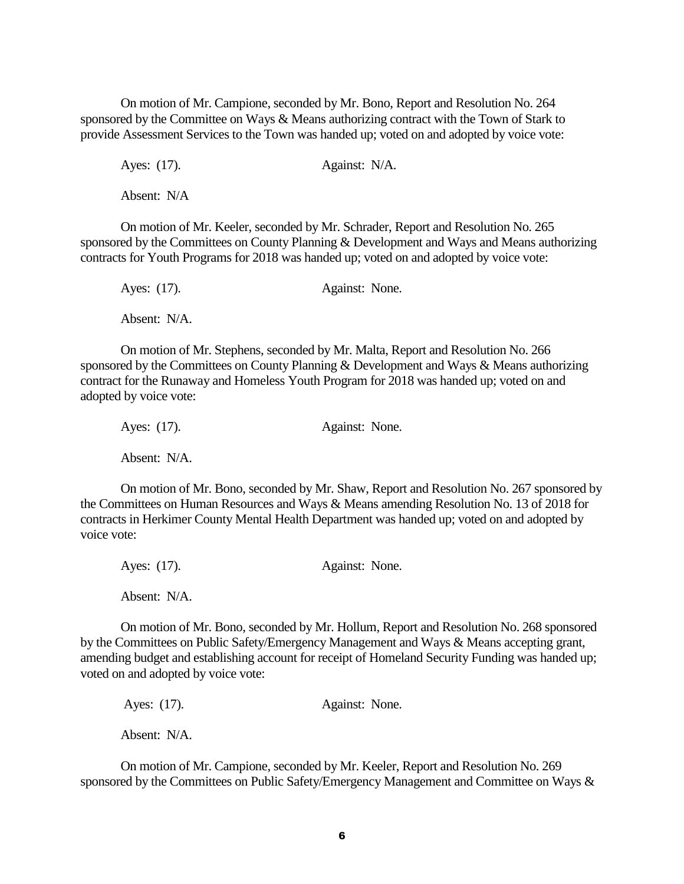On motion of Mr. Campione, seconded by Mr. Bono, Report and Resolution No. 264 sponsored by the Committee on Ways & Means authorizing contract with the Town of Stark to provide Assessment Services to the Town was handed up; voted on and adopted by voice vote:

Ayes: (17). Against: N/A.

Absent: N/A

On motion of Mr. Keeler, seconded by Mr. Schrader, Report and Resolution No. 265 sponsored by the Committees on County Planning & Development and Ways and Means authorizing contracts for Youth Programs for 2018 was handed up; voted on and adopted by voice vote:

| Ayes: (17).  | Against: None. |
|--------------|----------------|
| Absent: N/A. |                |

On motion of Mr. Stephens, seconded by Mr. Malta, Report and Resolution No. 266 sponsored by the Committees on County Planning & Development and Ways & Means authorizing contract for the Runaway and Homeless Youth Program for 2018 was handed up; voted on and adopted by voice vote:

| Ayes: (17).  | Against: None. |  |
|--------------|----------------|--|
| Absent: N/A. |                |  |

On motion of Mr. Bono, seconded by Mr. Shaw, Report and Resolution No. 267 sponsored by the Committees on Human Resources and Ways & Means amending Resolution No. 13 of 2018 for contracts in Herkimer County Mental Health Department was handed up; voted on and adopted by voice vote:

| Ayes: (17).  | Against: None. |
|--------------|----------------|
| Absent: N/A. |                |

On motion of Mr. Bono, seconded by Mr. Hollum, Report and Resolution No. 268 sponsored by the Committees on Public Safety/Emergency Management and Ways & Means accepting grant, amending budget and establishing account for receipt of Homeland Security Funding was handed up; voted on and adopted by voice vote:

Ayes: (17). Against: None. Absent: N/A.

On motion of Mr. Campione, seconded by Mr. Keeler, Report and Resolution No. 269 sponsored by the Committees on Public Safety/Emergency Management and Committee on Ways &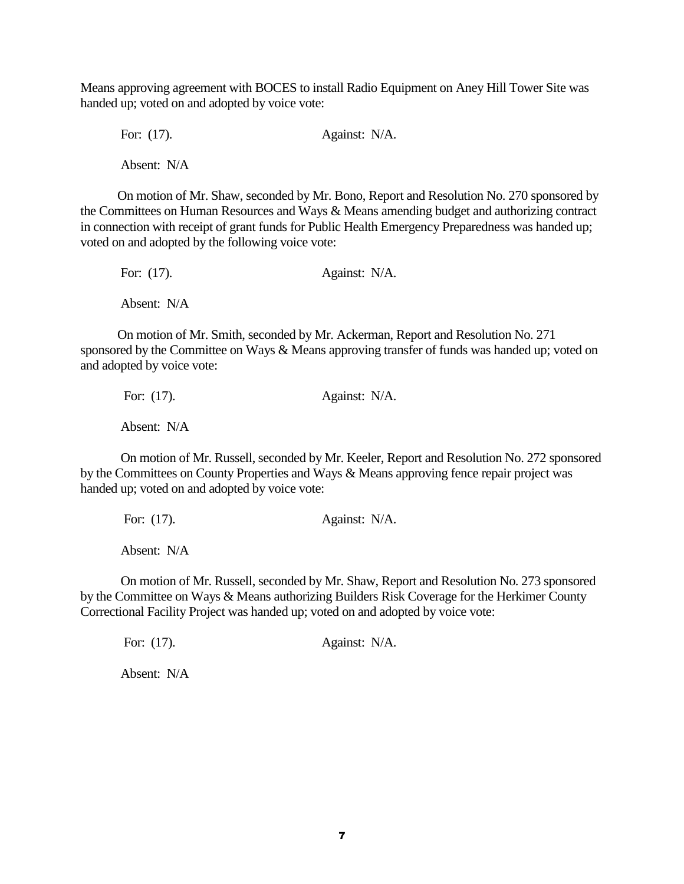Means approving agreement with BOCES to install Radio Equipment on Aney Hill Tower Site was handed up; voted on and adopted by voice vote:

For: (17). **Against: N/A.** Absent: N/A

 On motion of Mr. Shaw, seconded by Mr. Bono, Report and Resolution No. 270 sponsored by the Committees on Human Resources and Ways & Means amending budget and authorizing contract in connection with receipt of grant funds for Public Health Emergency Preparedness was handed up; voted on and adopted by the following voice vote:

For: (17). **Against: N/A.** Absent: N/A

 On motion of Mr. Smith, seconded by Mr. Ackerman, Report and Resolution No. 271 sponsored by the Committee on Ways & Means approving transfer of funds was handed up; voted on and adopted by voice vote:

For: (17). **Against: N/A.** Absent: N/A

On motion of Mr. Russell, seconded by Mr. Keeler, Report and Resolution No. 272 sponsored by the Committees on County Properties and Ways & Means approving fence repair project was handed up; voted on and adopted by voice vote:

For: (17). **Against: N/A.** 

Absent: N/A

On motion of Mr. Russell, seconded by Mr. Shaw, Report and Resolution No. 273 sponsored by the Committee on Ways & Means authorizing Builders Risk Coverage for the Herkimer County Correctional Facility Project was handed up; voted on and adopted by voice vote:

For: (17). **Against: N/A.**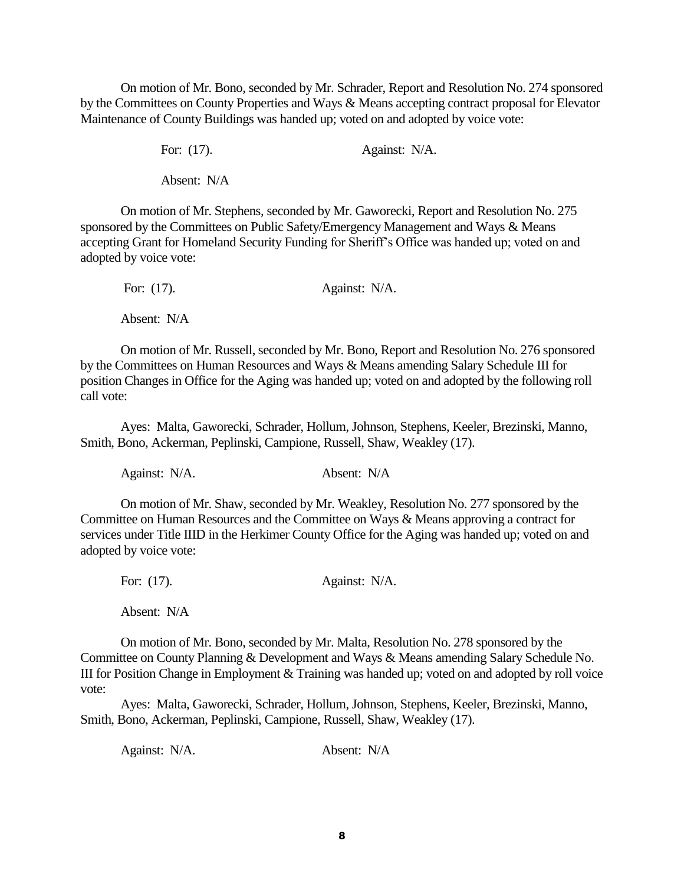On motion of Mr. Bono, seconded by Mr. Schrader, Report and Resolution No. 274 sponsored by the Committees on County Properties and Ways & Means accepting contract proposal for Elevator Maintenance of County Buildings was handed up; voted on and adopted by voice vote:

For: (17). **Against: N/A.** 

Absent: N/A

On motion of Mr. Stephens, seconded by Mr. Gaworecki, Report and Resolution No. 275 sponsored by the Committees on Public Safety/Emergency Management and Ways & Means accepting Grant for Homeland Security Funding for Sheriff's Office was handed up; voted on and adopted by voice vote:

| For: $(17)$ . | Against: N/A. |  |
|---------------|---------------|--|
| Absent: N/A   |               |  |

On motion of Mr. Russell, seconded by Mr. Bono, Report and Resolution No. 276 sponsored by the Committees on Human Resources and Ways & Means amending Salary Schedule III for position Changes in Office for the Aging was handed up; voted on and adopted by the following roll call vote:

Ayes: Malta, Gaworecki, Schrader, Hollum, Johnson, Stephens, Keeler, Brezinski, Manno, Smith, Bono, Ackerman, Peplinski, Campione, Russell, Shaw, Weakley (17).

Against: N/A. Absent: N/A

On motion of Mr. Shaw, seconded by Mr. Weakley, Resolution No. 277 sponsored by the Committee on Human Resources and the Committee on Ways & Means approving a contract for services under Title IIID in the Herkimer County Office for the Aging was handed up; voted on and adopted by voice vote:

| For: $(17)$ . | Against: N/A. |  |
|---------------|---------------|--|
|               |               |  |

Absent: N/A

On motion of Mr. Bono, seconded by Mr. Malta, Resolution No. 278 sponsored by the Committee on County Planning & Development and Ways & Means amending Salary Schedule No. III for Position Change in Employment & Training was handed up; voted on and adopted by roll voice vote:

Ayes: Malta, Gaworecki, Schrader, Hollum, Johnson, Stephens, Keeler, Brezinski, Manno, Smith, Bono, Ackerman, Peplinski, Campione, Russell, Shaw, Weakley (17).

Against: N/A. Absent: N/A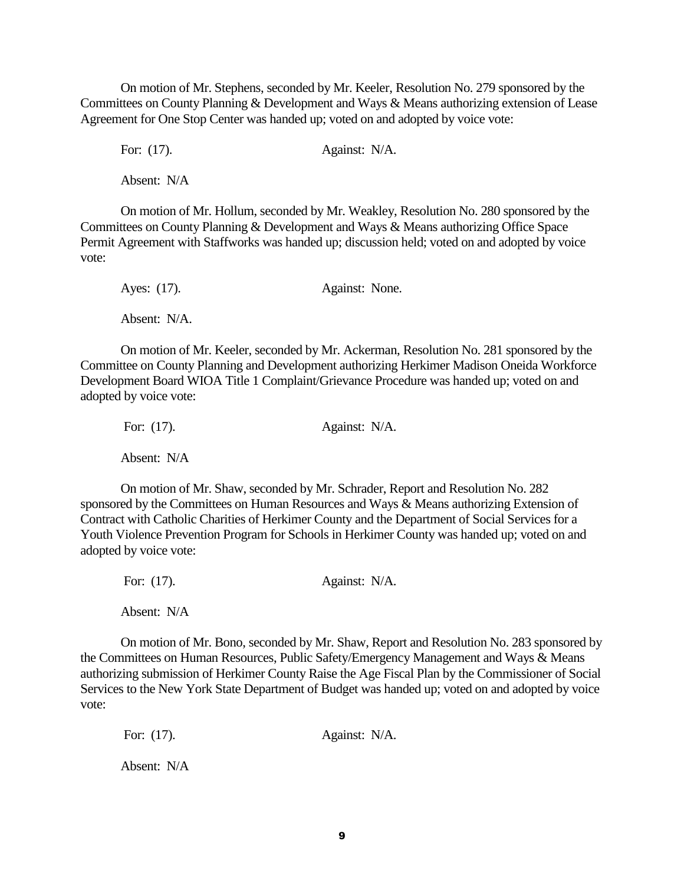On motion of Mr. Stephens, seconded by Mr. Keeler, Resolution No. 279 sponsored by the Committees on County Planning & Development and Ways & Means authorizing extension of Lease Agreement for One Stop Center was handed up; voted on and adopted by voice vote:

For: (17). **Against: N/A.** 

Absent: N/A

On motion of Mr. Hollum, seconded by Mr. Weakley, Resolution No. 280 sponsored by the Committees on County Planning & Development and Ways & Means authorizing Office Space Permit Agreement with Staffworks was handed up; discussion held; voted on and adopted by voice vote:

| Ayes: (17).  | Against: None. |  |
|--------------|----------------|--|
| Absent: N/A. |                |  |

On motion of Mr. Keeler, seconded by Mr. Ackerman, Resolution No. 281 sponsored by the Committee on County Planning and Development authorizing Herkimer Madison Oneida Workforce Development Board WIOA Title 1 Complaint/Grievance Procedure was handed up; voted on and adopted by voice vote:

| For: $(17)$ . | Against: N/A. |
|---------------|---------------|
| Absent: N/A   |               |

On motion of Mr. Shaw, seconded by Mr. Schrader, Report and Resolution No. 282 sponsored by the Committees on Human Resources and Ways & Means authorizing Extension of Contract with Catholic Charities of Herkimer County and the Department of Social Services for a Youth Violence Prevention Program for Schools in Herkimer County was handed up; voted on and adopted by voice vote:

| For: $(17)$ . | Against: N/A. |
|---------------|---------------|
| Absent: N/A   |               |

On motion of Mr. Bono, seconded by Mr. Shaw, Report and Resolution No. 283 sponsored by the Committees on Human Resources, Public Safety/Emergency Management and Ways & Means authorizing submission of Herkimer County Raise the Age Fiscal Plan by the Commissioner of Social Services to the New York State Department of Budget was handed up; voted on and adopted by voice vote:

For: (17). **Against: N/A.**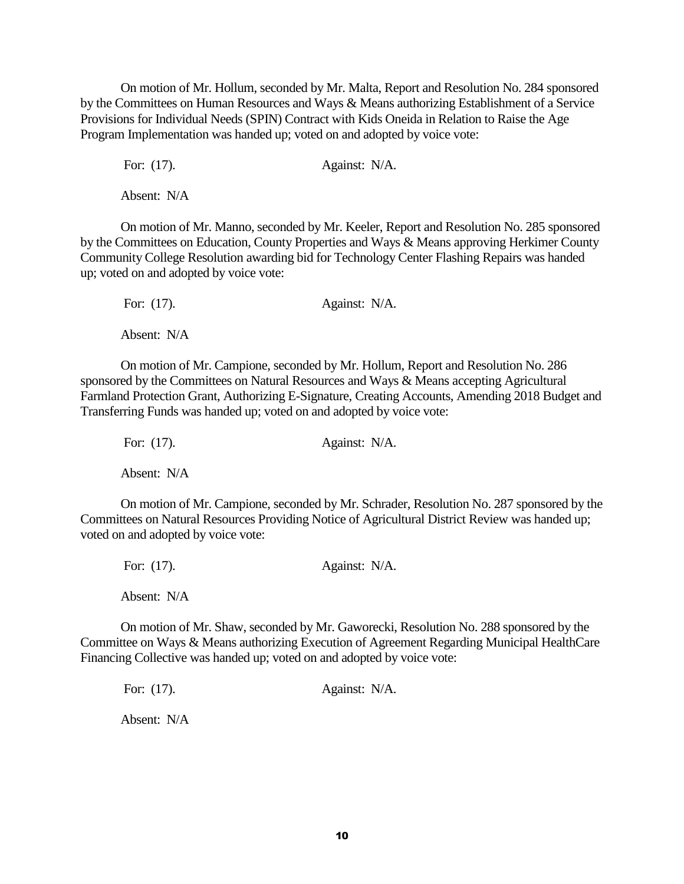On motion of Mr. Hollum, seconded by Mr. Malta, Report and Resolution No. 284 sponsored by the Committees on Human Resources and Ways & Means authorizing Establishment of a Service Provisions for Individual Needs (SPIN) Contract with Kids Oneida in Relation to Raise the Age Program Implementation was handed up; voted on and adopted by voice vote:

For: (17). **Against: N/A.** 

Absent: N/A

On motion of Mr. Manno, seconded by Mr. Keeler, Report and Resolution No. 285 sponsored by the Committees on Education, County Properties and Ways & Means approving Herkimer County Community College Resolution awarding bid for Technology Center Flashing Repairs was handed up; voted on and adopted by voice vote:

For: (17). **Against: N/A.** Absent: N/A

On motion of Mr. Campione, seconded by Mr. Hollum, Report and Resolution No. 286 sponsored by the Committees on Natural Resources and Ways & Means accepting Agricultural Farmland Protection Grant, Authorizing E-Signature, Creating Accounts, Amending 2018 Budget and Transferring Funds was handed up; voted on and adopted by voice vote:

For: (17). **Against: N/A.** Absent: N/A

On motion of Mr. Campione, seconded by Mr. Schrader, Resolution No. 287 sponsored by the Committees on Natural Resources Providing Notice of Agricultural District Review was handed up; voted on and adopted by voice vote:

For: (17). **Against: N/A.** Absent: N/A

On motion of Mr. Shaw, seconded by Mr. Gaworecki, Resolution No. 288 sponsored by the Committee on Ways & Means authorizing Execution of Agreement Regarding Municipal HealthCare Financing Collective was handed up; voted on and adopted by voice vote:

For: (17). **Against: N/A.**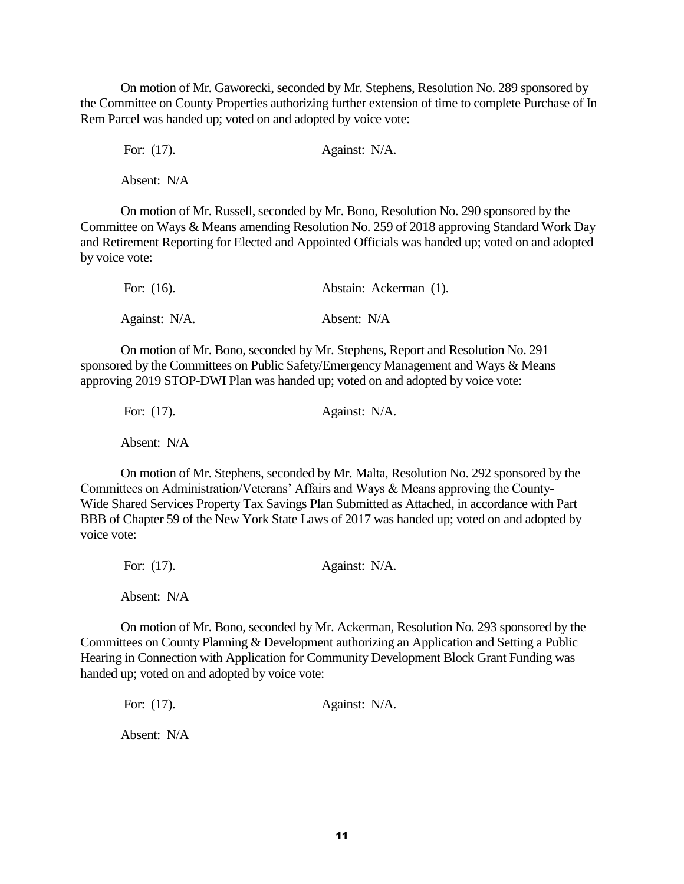On motion of Mr. Gaworecki, seconded by Mr. Stephens, Resolution No. 289 sponsored by the Committee on County Properties authorizing further extension of time to complete Purchase of In Rem Parcel was handed up; voted on and adopted by voice vote:

For: (17). **Against: N/A.** 

Absent: N/A

On motion of Mr. Russell, seconded by Mr. Bono, Resolution No. 290 sponsored by the Committee on Ways & Means amending Resolution No. 259 of 2018 approving Standard Work Day and Retirement Reporting for Elected and Appointed Officials was handed up; voted on and adopted by voice vote:

| For: $(16)$ . | Abstain: Ackerman (1). |
|---------------|------------------------|
| Against: N/A. | Absent: N/A            |

On motion of Mr. Bono, seconded by Mr. Stephens, Report and Resolution No. 291 sponsored by the Committees on Public Safety/Emergency Management and Ways & Means approving 2019 STOP-DWI Plan was handed up; voted on and adopted by voice vote:

| For: $(17)$ . | Against: N/A. |
|---------------|---------------|
| Absent: N/A   |               |

On motion of Mr. Stephens, seconded by Mr. Malta, Resolution No. 292 sponsored by the Committees on Administration/Veterans' Affairs and Ways & Means approving the County-Wide Shared Services Property Tax Savings Plan Submitted as Attached, in accordance with Part BBB of Chapter 59 of the New York State Laws of 2017 was handed up; voted on and adopted by voice vote:

| For: $(17)$ . | Against: N/A. |
|---------------|---------------|
| Absent: N/A   |               |

On motion of Mr. Bono, seconded by Mr. Ackerman, Resolution No. 293 sponsored by the Committees on County Planning & Development authorizing an Application and Setting a Public Hearing in Connection with Application for Community Development Block Grant Funding was handed up; voted on and adopted by voice vote:

For: (17). **Against: N/A.**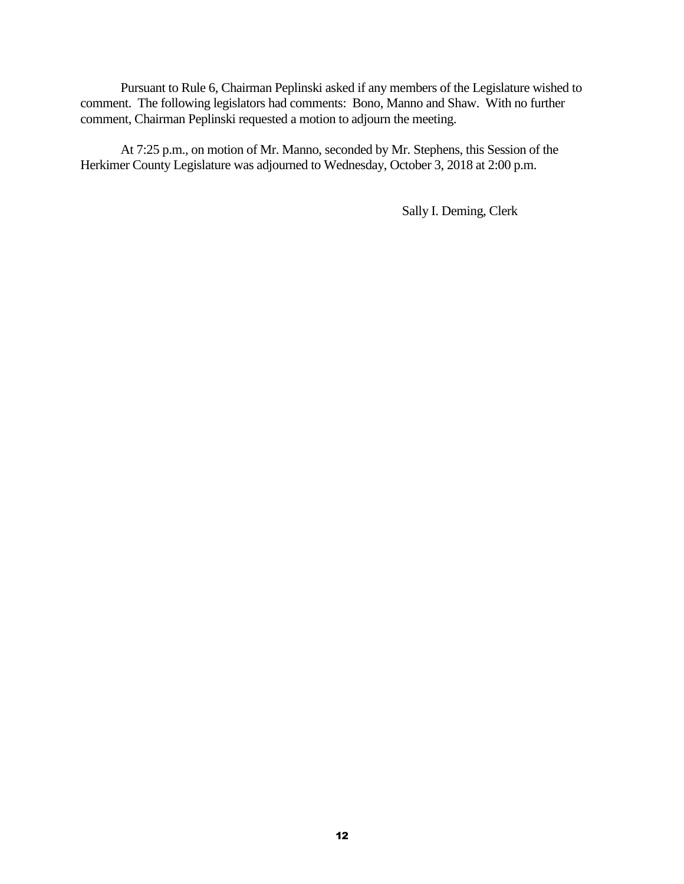Pursuant to Rule 6, Chairman Peplinski asked if any members of the Legislature wished to comment. The following legislators had comments: Bono, Manno and Shaw. With no further comment, Chairman Peplinski requested a motion to adjourn the meeting.

At 7:25 p.m., on motion of Mr. Manno, seconded by Mr. Stephens, this Session of the Herkimer County Legislature was adjourned to Wednesday, October 3, 2018 at 2:00 p.m.

Sally I. Deming, Clerk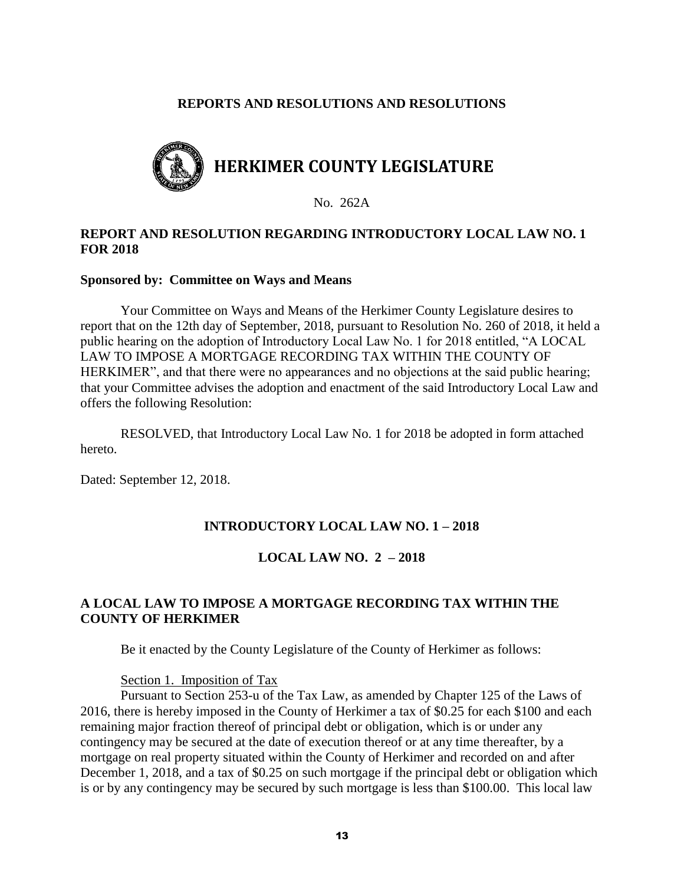### **REPORTS AND RESOLUTIONS AND RESOLUTIONS**



No. 262A

## **REPORT AND RESOLUTION REGARDING INTRODUCTORY LOCAL LAW NO. 1 FOR 2018**

#### **Sponsored by: Committee on Ways and Means**

Your Committee on Ways and Means of the Herkimer County Legislature desires to report that on the 12th day of September, 2018, pursuant to Resolution No. 260 of 2018, it held a public hearing on the adoption of Introductory Local Law No. 1 for 2018 entitled, "A LOCAL LAW TO IMPOSE A MORTGAGE RECORDING TAX WITHIN THE COUNTY OF HERKIMER", and that there were no appearances and no objections at the said public hearing; that your Committee advises the adoption and enactment of the said Introductory Local Law and offers the following Resolution:

RESOLVED, that Introductory Local Law No. 1 for 2018 be adopted in form attached hereto.

Dated: September 12, 2018.

#### **INTRODUCTORY LOCAL LAW NO. 1 – 2018**

#### **LOCAL LAW NO. 2 – 2018**

# **A LOCAL LAW TO IMPOSE A MORTGAGE RECORDING TAX WITHIN THE COUNTY OF HERKIMER**

Be it enacted by the County Legislature of the County of Herkimer as follows:

#### Section 1. Imposition of Tax

Pursuant to Section 253-u of the Tax Law, as amended by Chapter 125 of the Laws of 2016, there is hereby imposed in the County of Herkimer a tax of \$0.25 for each \$100 and each remaining major fraction thereof of principal debt or obligation, which is or under any contingency may be secured at the date of execution thereof or at any time thereafter, by a mortgage on real property situated within the County of Herkimer and recorded on and after December 1, 2018, and a tax of \$0.25 on such mortgage if the principal debt or obligation which is or by any contingency may be secured by such mortgage is less than \$100.00. This local law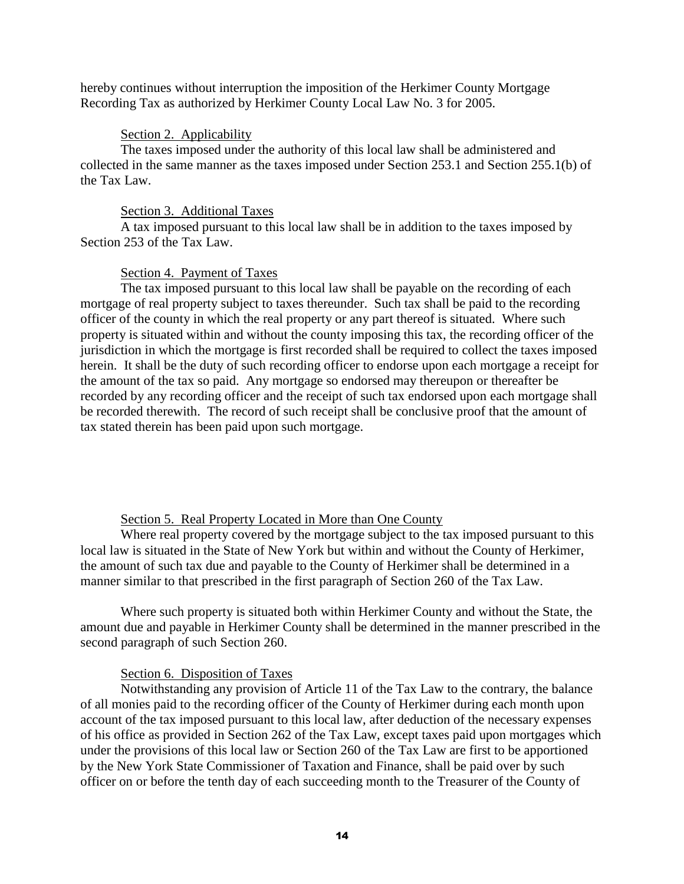hereby continues without interruption the imposition of the Herkimer County Mortgage Recording Tax as authorized by Herkimer County Local Law No. 3 for 2005.

### Section 2. Applicability

The taxes imposed under the authority of this local law shall be administered and collected in the same manner as the taxes imposed under Section 253.1 and Section 255.1(b) of the Tax Law.

### Section 3. Additional Taxes

A tax imposed pursuant to this local law shall be in addition to the taxes imposed by Section 253 of the Tax Law.

## Section 4. Payment of Taxes

The tax imposed pursuant to this local law shall be payable on the recording of each mortgage of real property subject to taxes thereunder. Such tax shall be paid to the recording officer of the county in which the real property or any part thereof is situated. Where such property is situated within and without the county imposing this tax, the recording officer of the jurisdiction in which the mortgage is first recorded shall be required to collect the taxes imposed herein. It shall be the duty of such recording officer to endorse upon each mortgage a receipt for the amount of the tax so paid. Any mortgage so endorsed may thereupon or thereafter be recorded by any recording officer and the receipt of such tax endorsed upon each mortgage shall be recorded therewith. The record of such receipt shall be conclusive proof that the amount of tax stated therein has been paid upon such mortgage.

## Section 5. Real Property Located in More than One County

Where real property covered by the mortgage subject to the tax imposed pursuant to this local law is situated in the State of New York but within and without the County of Herkimer, the amount of such tax due and payable to the County of Herkimer shall be determined in a manner similar to that prescribed in the first paragraph of Section 260 of the Tax Law.

Where such property is situated both within Herkimer County and without the State, the amount due and payable in Herkimer County shall be determined in the manner prescribed in the second paragraph of such Section 260.

## Section 6. Disposition of Taxes

Notwithstanding any provision of Article 11 of the Tax Law to the contrary, the balance of all monies paid to the recording officer of the County of Herkimer during each month upon account of the tax imposed pursuant to this local law, after deduction of the necessary expenses of his office as provided in Section 262 of the Tax Law, except taxes paid upon mortgages which under the provisions of this local law or Section 260 of the Tax Law are first to be apportioned by the New York State Commissioner of Taxation and Finance, shall be paid over by such officer on or before the tenth day of each succeeding month to the Treasurer of the County of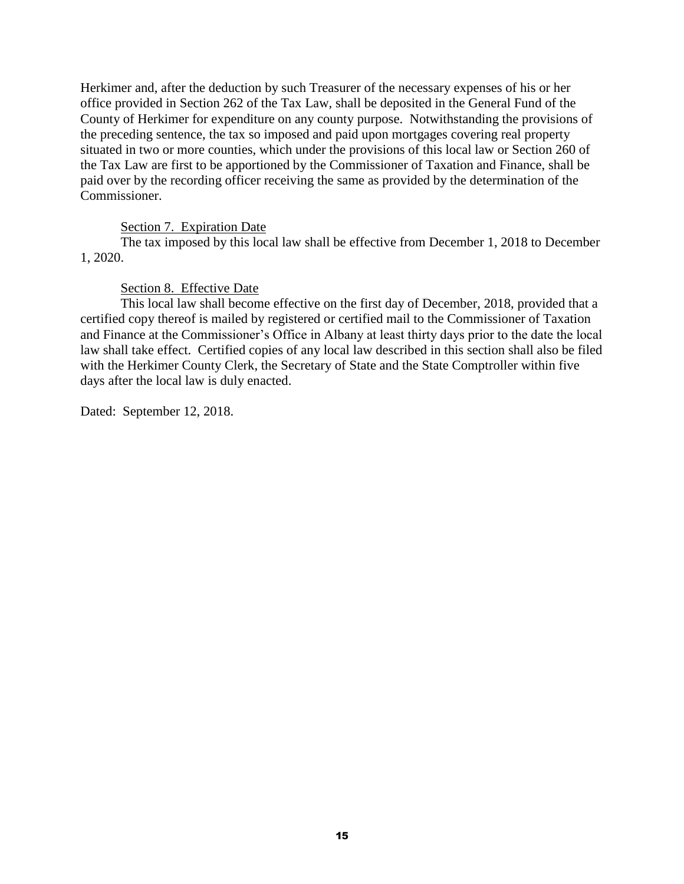Herkimer and, after the deduction by such Treasurer of the necessary expenses of his or her office provided in Section 262 of the Tax Law, shall be deposited in the General Fund of the County of Herkimer for expenditure on any county purpose. Notwithstanding the provisions of the preceding sentence, the tax so imposed and paid upon mortgages covering real property situated in two or more counties, which under the provisions of this local law or Section 260 of the Tax Law are first to be apportioned by the Commissioner of Taxation and Finance, shall be paid over by the recording officer receiving the same as provided by the determination of the Commissioner.

## Section 7. Expiration Date

The tax imposed by this local law shall be effective from December 1, 2018 to December 1, 2020.

### Section 8. Effective Date

This local law shall become effective on the first day of December, 2018, provided that a certified copy thereof is mailed by registered or certified mail to the Commissioner of Taxation and Finance at the Commissioner's Office in Albany at least thirty days prior to the date the local law shall take effect. Certified copies of any local law described in this section shall also be filed with the Herkimer County Clerk, the Secretary of State and the State Comptroller within five days after the local law is duly enacted.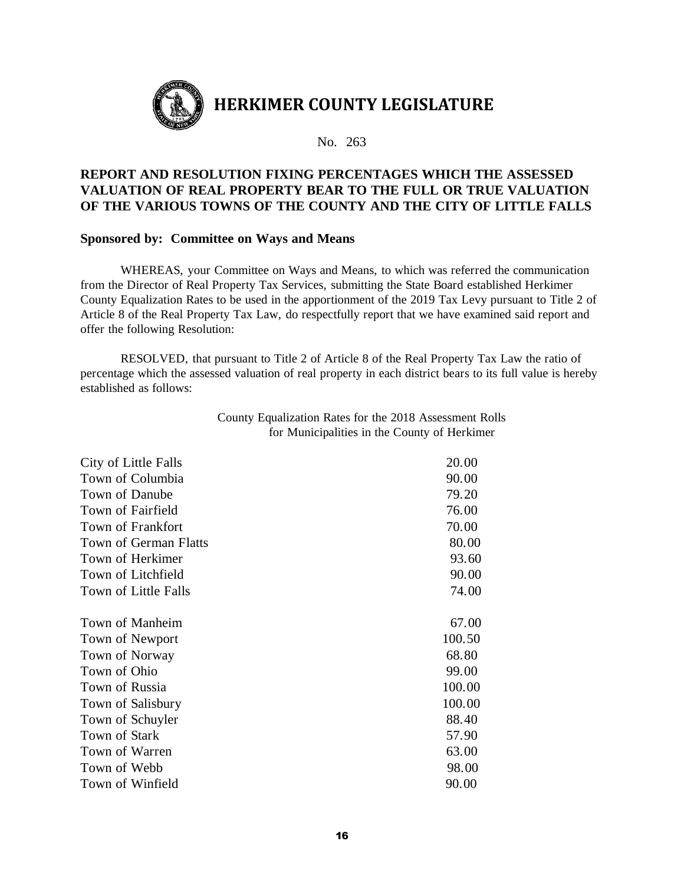

# **REPORT AND RESOLUTION FIXING PERCENTAGES WHICH THE ASSESSED VALUATION OF REAL PROPERTY BEAR TO THE FULL OR TRUE VALUATION OF THE VARIOUS TOWNS OF THE COUNTY AND THE CITY OF LITTLE FALLS**

### **Sponsored by: Committee on Ways and Means**

WHEREAS, your Committee on Ways and Means, to which was referred the communication from the Director of Real Property Tax Services, submitting the State Board established Herkimer County Equalization Rates to be used in the apportionment of the 2019 Tax Levy pursuant to Title 2 of Article 8 of the Real Property Tax Law, do respectfully report that we have examined said report and offer the following Resolution:

RESOLVED, that pursuant to Title 2 of Article 8 of the Real Property Tax Law the ratio of percentage which the assessed valuation of real property in each district bears to its full value is hereby established as follows:

| City of Little Falls         | 20.00  |
|------------------------------|--------|
| Town of Columbia             | 90.00  |
| Town of Danube               | 79.20  |
| Town of Fairfield            | 76.00  |
| Town of Frankfort            | 70.00  |
| <b>Town of German Flatts</b> | 80.00  |
| Town of Herkimer             | 93.60  |
| Town of Litchfield           | 90.00  |
| Town of Little Falls         | 74.00  |
| Town of Manheim              | 67.00  |
| Town of Newport              | 100.50 |
| Town of Norway               | 68.80  |
| Town of Ohio                 | 99.00  |
| Town of Russia               | 100.00 |
| Town of Salisbury            | 100.00 |
| Town of Schuyler             | 88.40  |
| <b>Town of Stark</b>         | 57.90  |
| Town of Warren               | 63.00  |
| Town of Webb                 | 98.00  |
| Town of Winfield             | 90.00  |
|                              |        |

County Equalization Rates for the 2018 Assessment Rolls for Municipalities in the County of Herkimer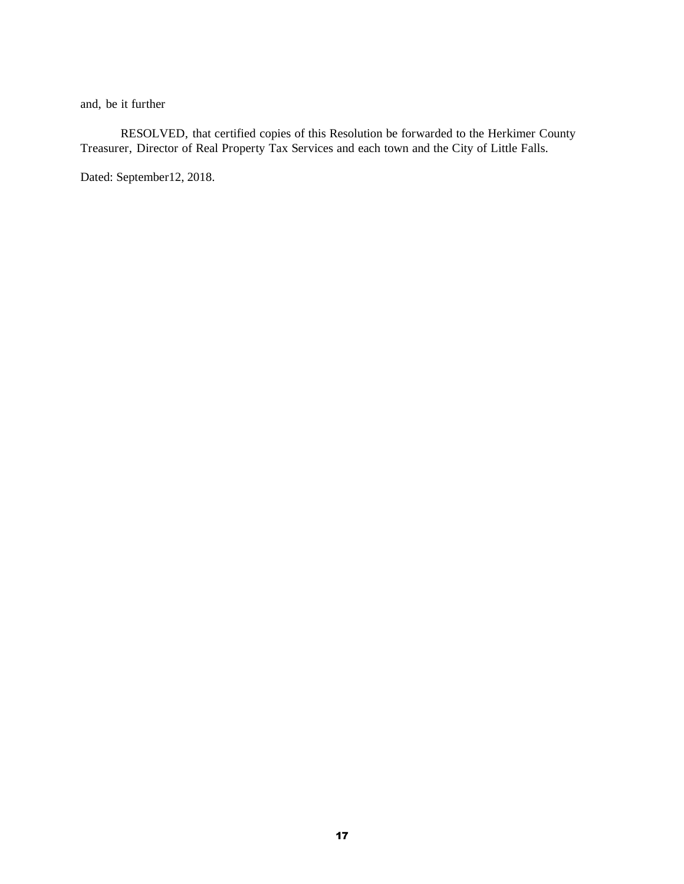and, be it further

RESOLVED, that certified copies of this Resolution be forwarded to the Herkimer County Treasurer, Director of Real Property Tax Services and each town and the City of Little Falls.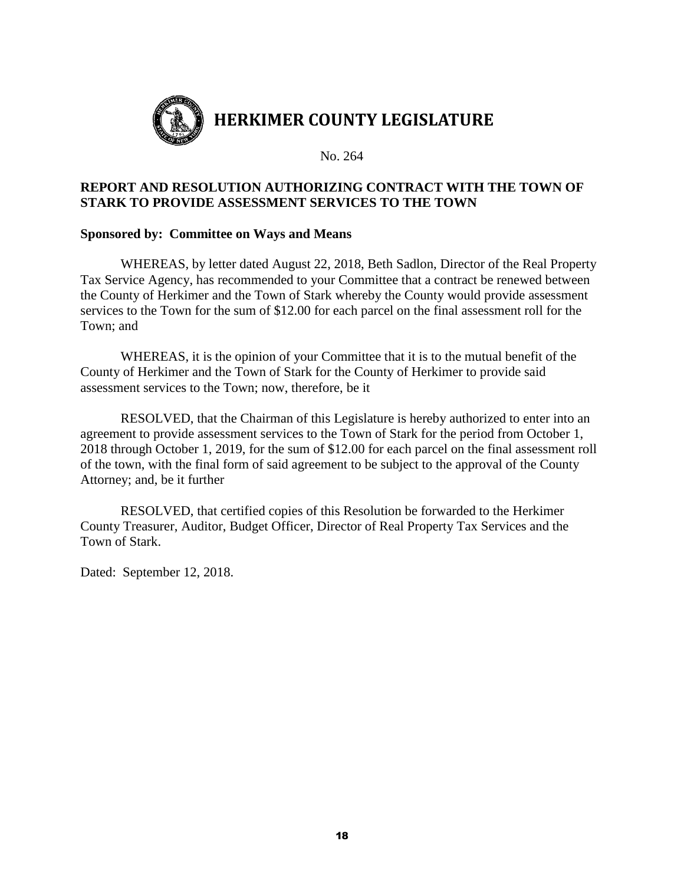

# **REPORT AND RESOLUTION AUTHORIZING CONTRACT WITH THE TOWN OF STARK TO PROVIDE ASSESSMENT SERVICES TO THE TOWN**

## **Sponsored by: Committee on Ways and Means**

WHEREAS, by letter dated August 22, 2018, Beth Sadlon, Director of the Real Property Tax Service Agency, has recommended to your Committee that a contract be renewed between the County of Herkimer and the Town of Stark whereby the County would provide assessment services to the Town for the sum of \$12.00 for each parcel on the final assessment roll for the Town; and

WHEREAS, it is the opinion of your Committee that it is to the mutual benefit of the County of Herkimer and the Town of Stark for the County of Herkimer to provide said assessment services to the Town; now, therefore, be it

RESOLVED, that the Chairman of this Legislature is hereby authorized to enter into an agreement to provide assessment services to the Town of Stark for the period from October 1, 2018 through October 1, 2019, for the sum of \$12.00 for each parcel on the final assessment roll of the town, with the final form of said agreement to be subject to the approval of the County Attorney; and, be it further

RESOLVED, that certified copies of this Resolution be forwarded to the Herkimer County Treasurer, Auditor, Budget Officer, Director of Real Property Tax Services and the Town of Stark.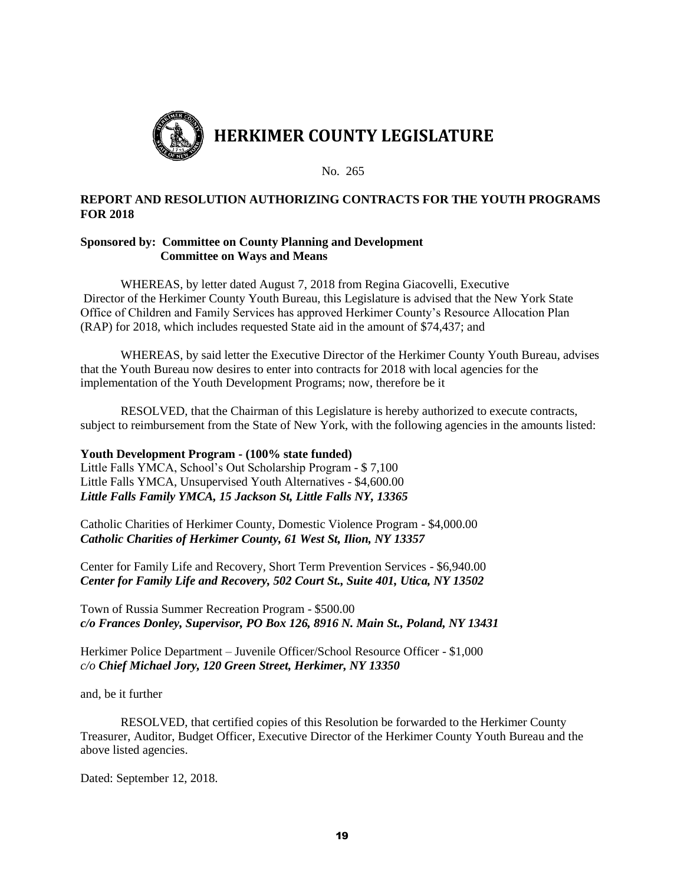

### **REPORT AND RESOLUTION AUTHORIZING CONTRACTS FOR THE YOUTH PROGRAMS FOR 2018**

#### **Sponsored by: Committee on County Planning and Development Committee on Ways and Means**

WHEREAS, by letter dated August 7, 2018 from Regina Giacovelli, Executive Director of the Herkimer County Youth Bureau, this Legislature is advised that the New York State Office of Children and Family Services has approved Herkimer County's Resource Allocation Plan (RAP) for 2018, which includes requested State aid in the amount of \$74,437; and

WHEREAS, by said letter the Executive Director of the Herkimer County Youth Bureau, advises that the Youth Bureau now desires to enter into contracts for 2018 with local agencies for the implementation of the Youth Development Programs; now, therefore be it

RESOLVED, that the Chairman of this Legislature is hereby authorized to execute contracts, subject to reimbursement from the State of New York, with the following agencies in the amounts listed:

#### **Youth Development Program - (100% state funded)**

Little Falls YMCA, School's Out Scholarship Program - \$ 7,100 Little Falls YMCA, Unsupervised Youth Alternatives - \$4,600.00 *Little Falls Family YMCA, 15 Jackson St, Little Falls NY, 13365*

Catholic Charities of Herkimer County, Domestic Violence Program - \$4,000.00 *Catholic Charities of Herkimer County, 61 West St, Ilion, NY 13357*

Center for Family Life and Recovery, Short Term Prevention Services - \$6,940.00 *Center for Family Life and Recovery, 502 Court St., Suite 401, Utica, NY 13502*

Town of Russia Summer Recreation Program - \$500.00 *c/o Frances Donley, Supervisor, PO Box 126, 8916 N. Main St., Poland, NY 13431*

Herkimer Police Department – Juvenile Officer/School Resource Officer - \$1,000 *c/o Chief Michael Jory, 120 Green Street, Herkimer, NY 13350*

and, be it further

RESOLVED, that certified copies of this Resolution be forwarded to the Herkimer County Treasurer, Auditor, Budget Officer, Executive Director of the Herkimer County Youth Bureau and the above listed agencies.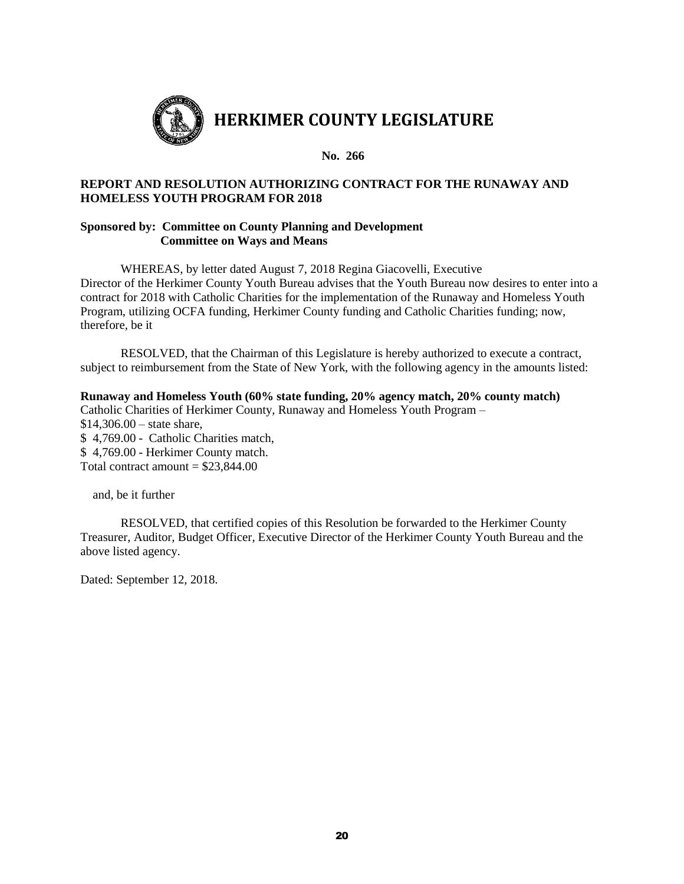

### **REPORT AND RESOLUTION AUTHORIZING CONTRACT FOR THE RUNAWAY AND HOMELESS YOUTH PROGRAM FOR 2018**

#### **Sponsored by: Committee on County Planning and Development Committee on Ways and Means**

WHEREAS, by letter dated August 7, 2018 Regina Giacovelli, Executive Director of the Herkimer County Youth Bureau advises that the Youth Bureau now desires to enter into a contract for 2018 with Catholic Charities for the implementation of the Runaway and Homeless Youth Program, utilizing OCFA funding, Herkimer County funding and Catholic Charities funding; now, therefore, be it

RESOLVED, that the Chairman of this Legislature is hereby authorized to execute a contract, subject to reimbursement from the State of New York, with the following agency in the amounts listed:

# **Runaway and Homeless Youth (60% state funding, 20% agency match, 20% county match)**

Catholic Charities of Herkimer County, Runaway and Homeless Youth Program –  $$14,306.00 - state share,$ \$ 4,769.00 - Catholic Charities match, \$ 4,769.00 - Herkimer County match. Total contract amount  $= $23,844.00$ 

and, be it further

RESOLVED, that certified copies of this Resolution be forwarded to the Herkimer County Treasurer, Auditor, Budget Officer, Executive Director of the Herkimer County Youth Bureau and the above listed agency.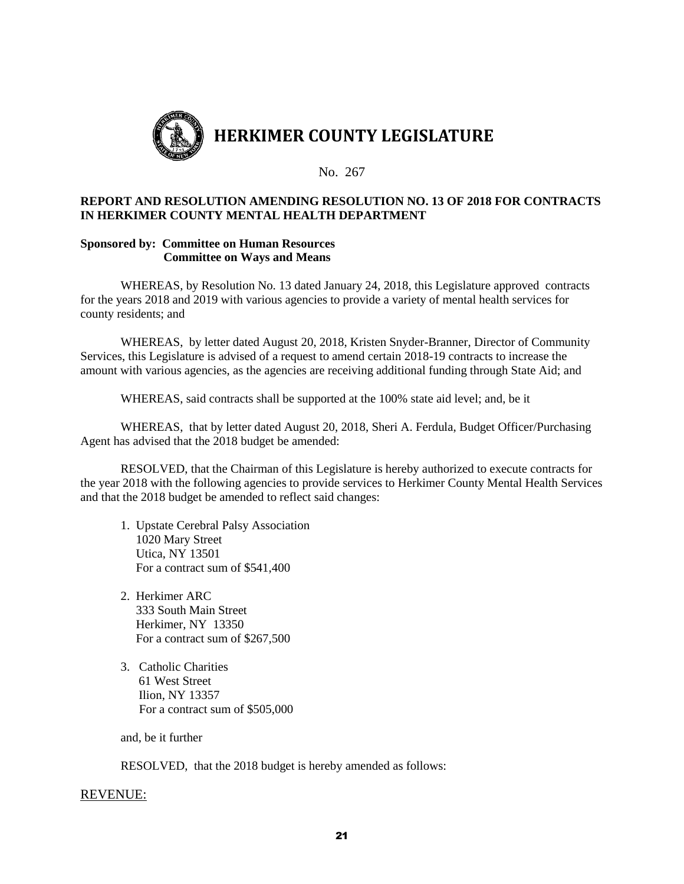

#### **REPORT AND RESOLUTION AMENDING RESOLUTION NO. 13 OF 2018 FOR CONTRACTS IN HERKIMER COUNTY MENTAL HEALTH DEPARTMENT**

#### **Sponsored by: Committee on Human Resources Committee on Ways and Means**

WHEREAS, by Resolution No. 13 dated January 24, 2018, this Legislature approved contracts for the years 2018 and 2019 with various agencies to provide a variety of mental health services for county residents; and

WHEREAS, by letter dated August 20, 2018, Kristen Snyder-Branner, Director of Community Services, this Legislature is advised of a request to amend certain 2018-19 contracts to increase the amount with various agencies, as the agencies are receiving additional funding through State Aid; and

WHEREAS, said contracts shall be supported at the 100% state aid level; and, be it

WHEREAS, that by letter dated August 20, 2018, Sheri A. Ferdula, Budget Officer/Purchasing Agent has advised that the 2018 budget be amended:

RESOLVED, that the Chairman of this Legislature is hereby authorized to execute contracts for the year 2018 with the following agencies to provide services to Herkimer County Mental Health Services and that the 2018 budget be amended to reflect said changes:

- 1. Upstate Cerebral Palsy Association 1020 Mary Street Utica, NY 13501 For a contract sum of \$541,400
- 2. Herkimer ARC 333 South Main Street Herkimer, NY 13350 For a contract sum of \$267,500
- 3. Catholic Charities 61 West Street Ilion, NY 13357 For a contract sum of \$505,000

and, be it further

RESOLVED, that the 2018 budget is hereby amended as follows:

#### REVENUE: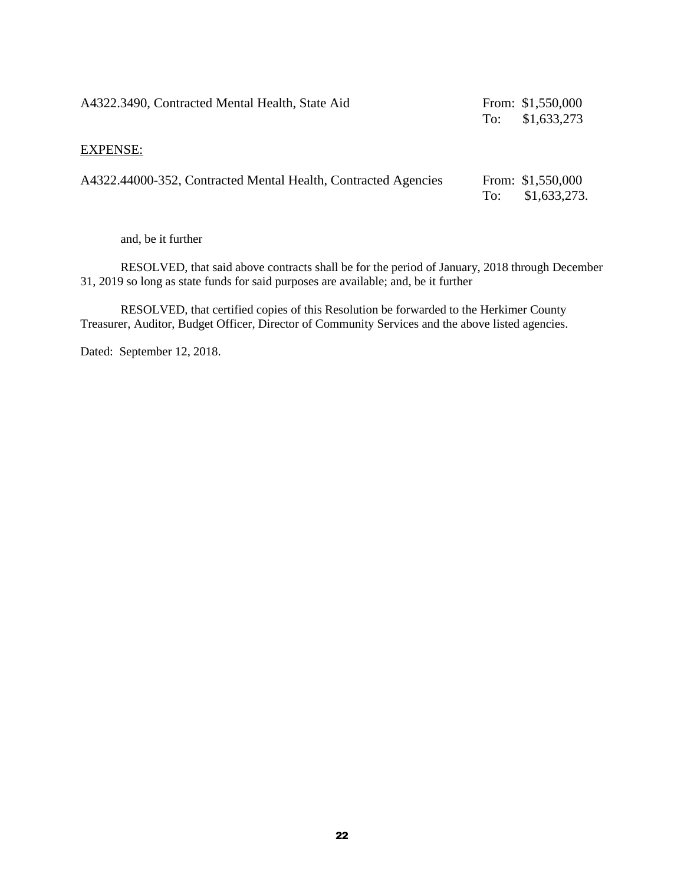| A4322.3490, Contracted Mental Health, State Aid                | To: | From: $$1,550,000$<br>\$1,633,273  |
|----------------------------------------------------------------|-----|------------------------------------|
| <b>EXPENSE:</b>                                                |     |                                    |
| A4322.44000-352, Contracted Mental Health, Contracted Agencies | To: | From: $$1,550,000$<br>\$1,633,273. |

and, be it further

RESOLVED, that said above contracts shall be for the period of January, 2018 through December 31, 2019 so long as state funds for said purposes are available; and, be it further

RESOLVED, that certified copies of this Resolution be forwarded to the Herkimer County Treasurer, Auditor, Budget Officer, Director of Community Services and the above listed agencies.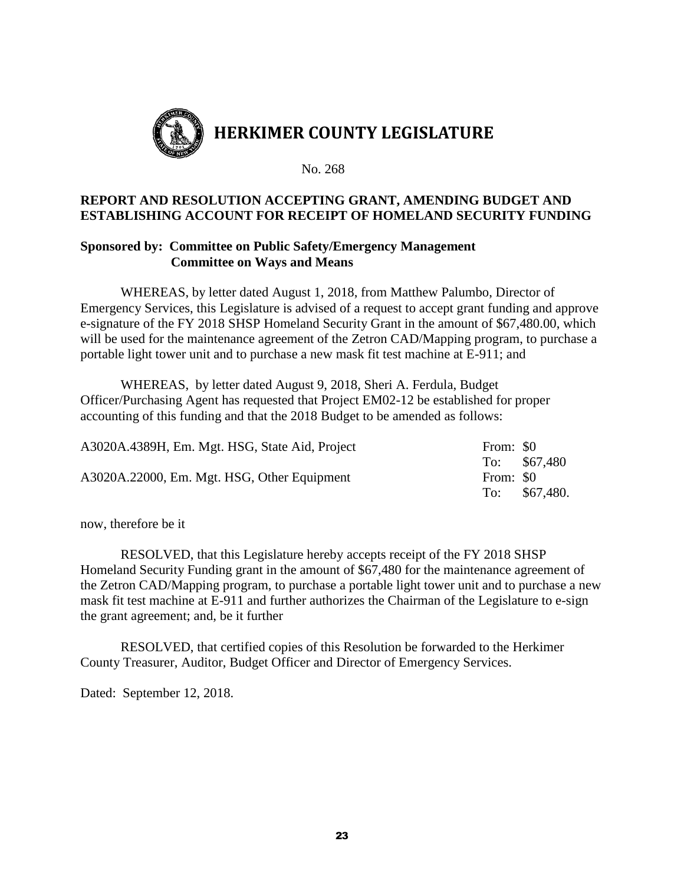

# **REPORT AND RESOLUTION ACCEPTING GRANT, AMENDING BUDGET AND ESTABLISHING ACCOUNT FOR RECEIPT OF HOMELAND SECURITY FUNDING**

## **Sponsored by: Committee on Public Safety/Emergency Management Committee on Ways and Means**

WHEREAS, by letter dated August 1, 2018, from Matthew Palumbo, Director of Emergency Services, this Legislature is advised of a request to accept grant funding and approve e-signature of the FY 2018 SHSP Homeland Security Grant in the amount of \$67,480.00, which will be used for the maintenance agreement of the Zetron CAD/Mapping program, to purchase a portable light tower unit and to purchase a new mask fit test machine at E-911; and

WHEREAS, by letter dated August 9, 2018, Sheri A. Ferdula, Budget Officer/Purchasing Agent has requested that Project EM02-12 be established for proper accounting of this funding and that the 2018 Budget to be amended as follows:

| A3020A.4389H, Em. Mgt. HSG, State Aid, Project | From: \$0 |               |
|------------------------------------------------|-----------|---------------|
|                                                |           | To: $$67,480$ |
| A3020A.22000, Em. Mgt. HSG, Other Equipment    | From: \$0 |               |
|                                                | To:       | \$67,480.     |

now, therefore be it

RESOLVED, that this Legislature hereby accepts receipt of the FY 2018 SHSP Homeland Security Funding grant in the amount of \$67,480 for the maintenance agreement of the Zetron CAD/Mapping program, to purchase a portable light tower unit and to purchase a new mask fit test machine at E-911 and further authorizes the Chairman of the Legislature to e-sign the grant agreement; and, be it further

RESOLVED, that certified copies of this Resolution be forwarded to the Herkimer County Treasurer, Auditor, Budget Officer and Director of Emergency Services.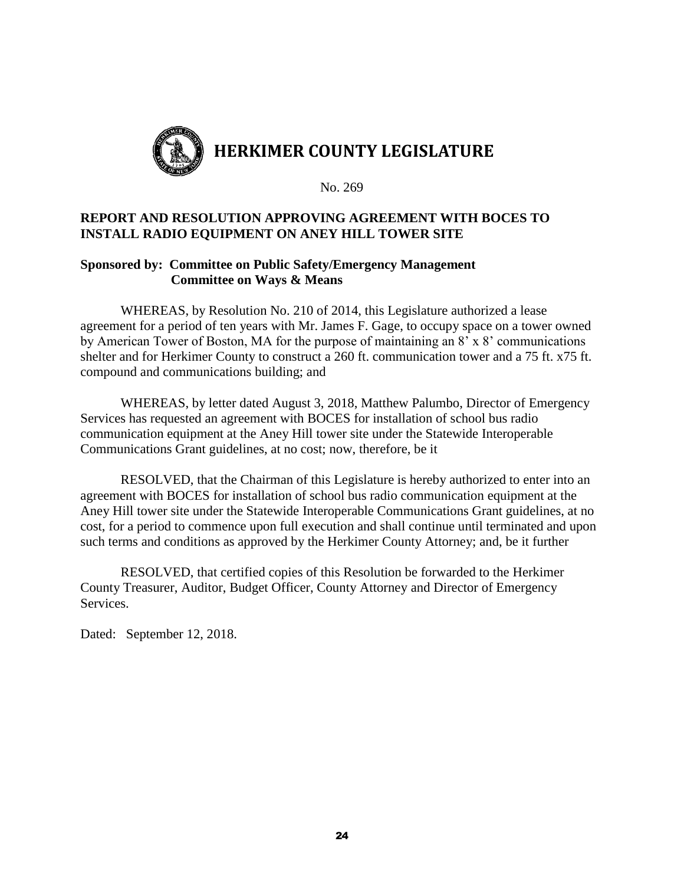

# **REPORT AND RESOLUTION APPROVING AGREEMENT WITH BOCES TO INSTALL RADIO EQUIPMENT ON ANEY HILL TOWER SITE**

# **Sponsored by: Committee on Public Safety/Emergency Management Committee on Ways & Means**

WHEREAS, by Resolution No. 210 of 2014, this Legislature authorized a lease agreement for a period of ten years with Mr. James F. Gage, to occupy space on a tower owned by American Tower of Boston, MA for the purpose of maintaining an 8' x 8' communications shelter and for Herkimer County to construct a 260 ft. communication tower and a 75 ft. x75 ft. compound and communications building; and

WHEREAS, by letter dated August 3, 2018, Matthew Palumbo, Director of Emergency Services has requested an agreement with BOCES for installation of school bus radio communication equipment at the Aney Hill tower site under the Statewide Interoperable Communications Grant guidelines, at no cost; now, therefore, be it

RESOLVED, that the Chairman of this Legislature is hereby authorized to enter into an agreement with BOCES for installation of school bus radio communication equipment at the Aney Hill tower site under the Statewide Interoperable Communications Grant guidelines, at no cost, for a period to commence upon full execution and shall continue until terminated and upon such terms and conditions as approved by the Herkimer County Attorney; and, be it further

RESOLVED, that certified copies of this Resolution be forwarded to the Herkimer County Treasurer, Auditor, Budget Officer, County Attorney and Director of Emergency Services.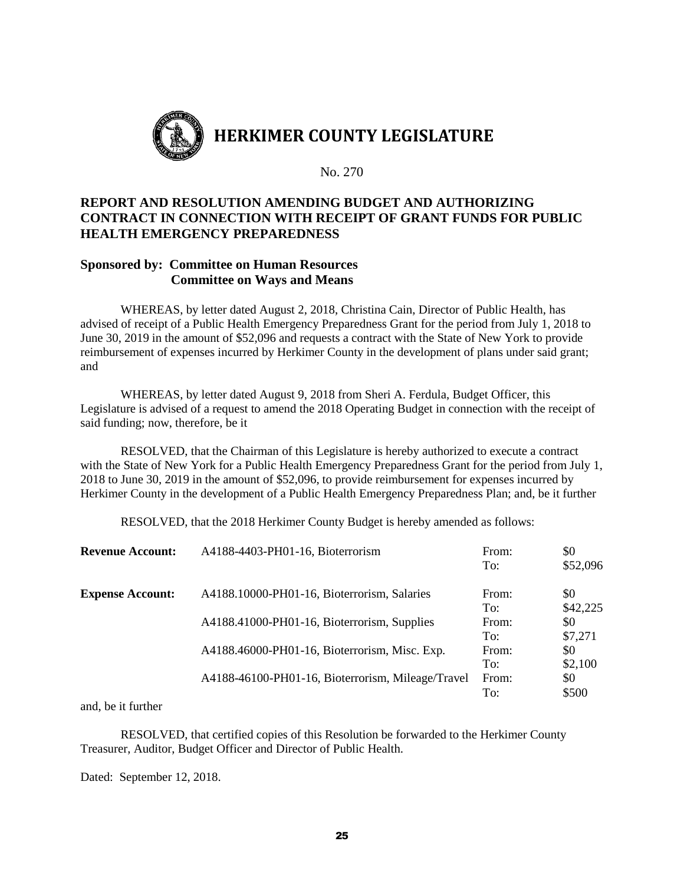

# **REPORT AND RESOLUTION AMENDING BUDGET AND AUTHORIZING CONTRACT IN CONNECTION WITH RECEIPT OF GRANT FUNDS FOR PUBLIC HEALTH EMERGENCY PREPAREDNESS**

# **Sponsored by: Committee on Human Resources Committee on Ways and Means**

WHEREAS, by letter dated August 2, 2018, Christina Cain, Director of Public Health, has advised of receipt of a Public Health Emergency Preparedness Grant for the period from July 1, 2018 to June 30, 2019 in the amount of \$52,096 and requests a contract with the State of New York to provide reimbursement of expenses incurred by Herkimer County in the development of plans under said grant; and

WHEREAS, by letter dated August 9, 2018 from Sheri A. Ferdula, Budget Officer, this Legislature is advised of a request to amend the 2018 Operating Budget in connection with the receipt of said funding; now, therefore, be it

RESOLVED, that the Chairman of this Legislature is hereby authorized to execute a contract with the State of New York for a Public Health Emergency Preparedness Grant for the period from July 1, 2018 to June 30, 2019 in the amount of \$52,096, to provide reimbursement for expenses incurred by Herkimer County in the development of a Public Health Emergency Preparedness Plan; and, be it further

RESOLVED, that the 2018 Herkimer County Budget is hereby amended as follows:

| <b>Revenue Account:</b> | A4188-4403-PH01-16, Bioterrorism                  | From:<br>To: | \$0<br>\$52,096 |
|-------------------------|---------------------------------------------------|--------------|-----------------|
| <b>Expense Account:</b> | A4188.10000-PH01-16, Bioterrorism, Salaries       | From:<br>To: | \$0<br>\$42,225 |
|                         | A4188.41000-PH01-16, Bioterrorism, Supplies       | From:<br>To: | \$0<br>\$7,271  |
|                         | A4188.46000-PH01-16, Bioterrorism, Misc. Exp.     | From:<br>To: | \$0<br>\$2,100  |
|                         | A4188-46100-PH01-16, Bioterrorism, Mileage/Travel | From:<br>To: | \$0<br>\$500    |

and, be it further

RESOLVED, that certified copies of this Resolution be forwarded to the Herkimer County Treasurer, Auditor, Budget Officer and Director of Public Health.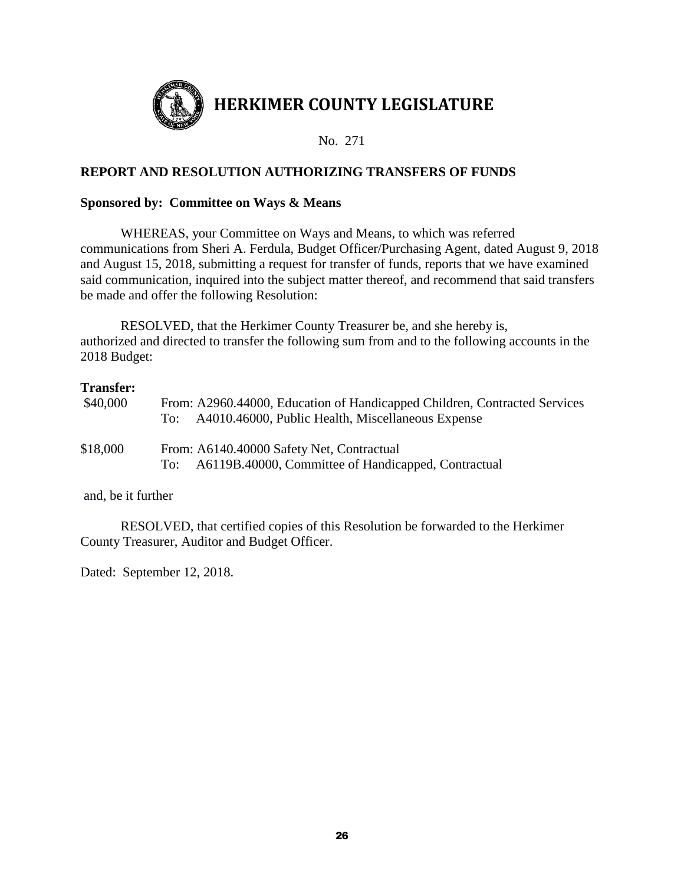

# **REPORT AND RESOLUTION AUTHORIZING TRANSFERS OF FUNDS**

## **Sponsored by: Committee on Ways & Means**

WHEREAS, your Committee on Ways and Means, to which was referred communications from Sheri A. Ferdula, Budget Officer/Purchasing Agent, dated August 9, 2018 and August 15, 2018, submitting a request for transfer of funds, reports that we have examined said communication, inquired into the subject matter thereof, and recommend that said transfers be made and offer the following Resolution:

RESOLVED, that the Herkimer County Treasurer be, and she hereby is, authorized and directed to transfer the following sum from and to the following accounts in the 2018 Budget:

# **Transfer:**

| \$40,000 | From: A2960.44000, Education of Handicapped Children, Contracted Services<br>A4010.46000, Public Health, Miscellaneous Expense<br>To: |
|----------|---------------------------------------------------------------------------------------------------------------------------------------|
| \$18,000 | From: A6140.40000 Safety Net, Contractual<br>A6119B.40000, Committee of Handicapped, Contractual<br>To:                               |

and, be it further

RESOLVED, that certified copies of this Resolution be forwarded to the Herkimer County Treasurer, Auditor and Budget Officer.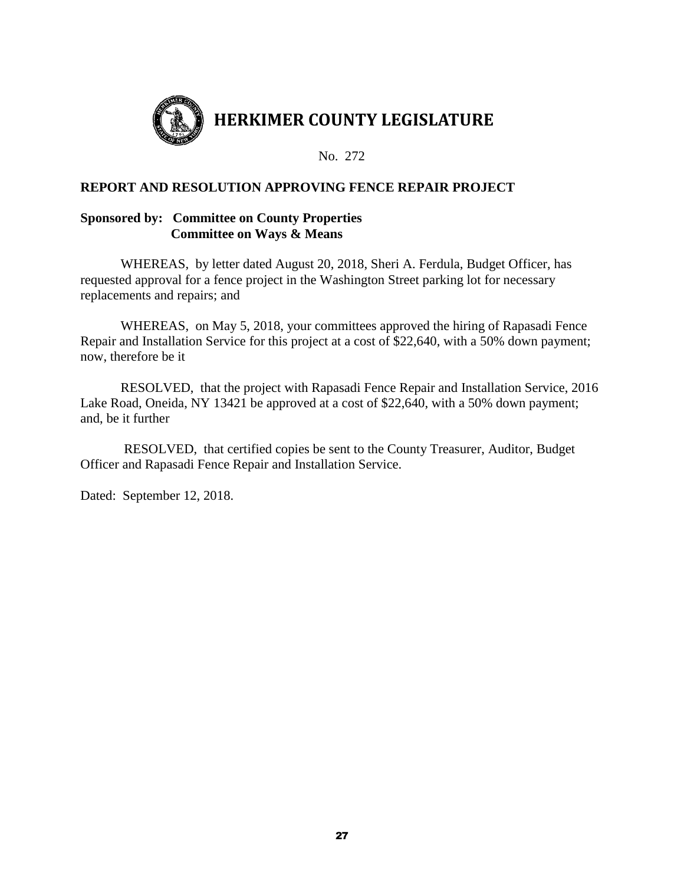

# **REPORT AND RESOLUTION APPROVING FENCE REPAIR PROJECT**

## **Sponsored by: Committee on County Properties Committee on Ways & Means**

WHEREAS, by letter dated August 20, 2018, Sheri A. Ferdula, Budget Officer, has requested approval for a fence project in the Washington Street parking lot for necessary replacements and repairs; and

WHEREAS, on May 5, 2018, your committees approved the hiring of Rapasadi Fence Repair and Installation Service for this project at a cost of \$22,640, with a 50% down payment; now, therefore be it

RESOLVED, that the project with Rapasadi Fence Repair and Installation Service, 2016 Lake Road, Oneida, NY 13421 be approved at a cost of \$22,640, with a 50% down payment; and, be it further

RESOLVED, that certified copies be sent to the County Treasurer, Auditor, Budget Officer and Rapasadi Fence Repair and Installation Service.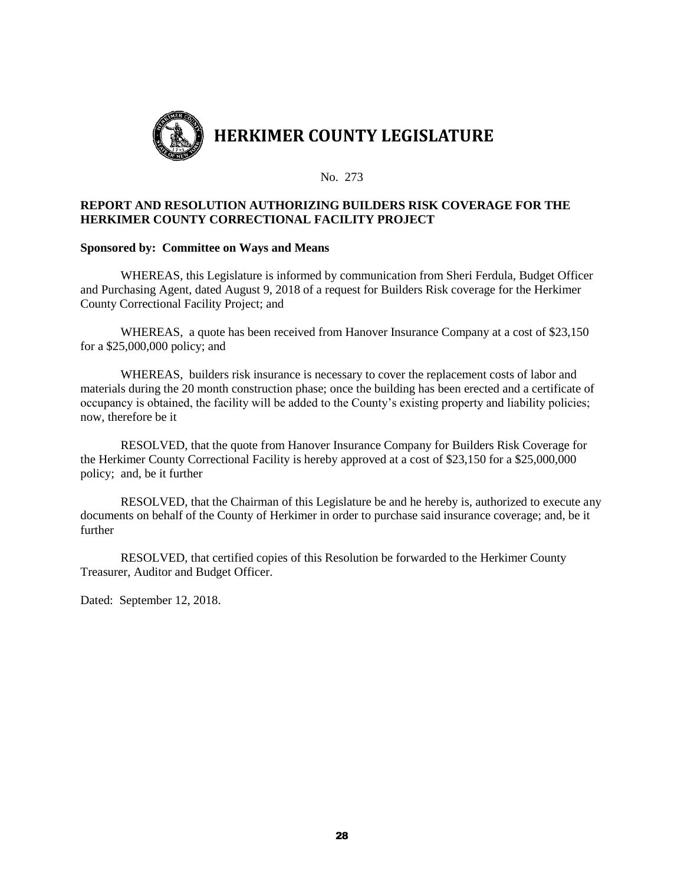

#### **REPORT AND RESOLUTION AUTHORIZING BUILDERS RISK COVERAGE FOR THE HERKIMER COUNTY CORRECTIONAL FACILITY PROJECT**

#### **Sponsored by: Committee on Ways and Means**

WHEREAS, this Legislature is informed by communication from Sheri Ferdula, Budget Officer and Purchasing Agent, dated August 9, 2018 of a request for Builders Risk coverage for the Herkimer County Correctional Facility Project; and

WHEREAS, a quote has been received from Hanover Insurance Company at a cost of \$23,150 for a \$25,000,000 policy; and

WHEREAS, builders risk insurance is necessary to cover the replacement costs of labor and materials during the 20 month construction phase; once the building has been erected and a certificate of occupancy is obtained, the facility will be added to the County's existing property and liability policies; now, therefore be it

RESOLVED, that the quote from Hanover Insurance Company for Builders Risk Coverage for the Herkimer County Correctional Facility is hereby approved at a cost of \$23,150 for a \$25,000,000 policy; and, be it further

RESOLVED, that the Chairman of this Legislature be and he hereby is, authorized to execute any documents on behalf of the County of Herkimer in order to purchase said insurance coverage; and, be it further

RESOLVED, that certified copies of this Resolution be forwarded to the Herkimer County Treasurer, Auditor and Budget Officer.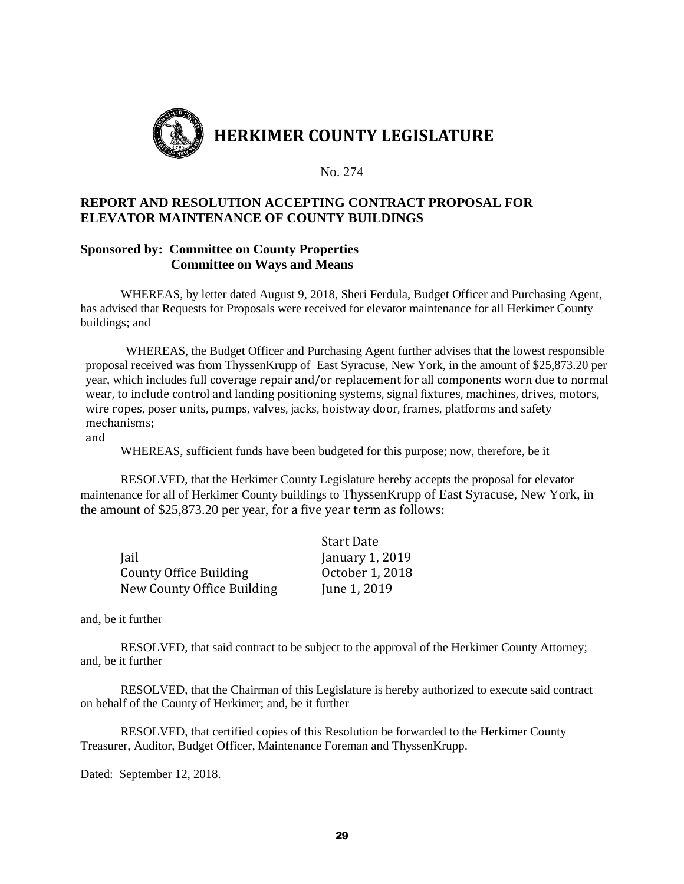

# **REPORT AND RESOLUTION ACCEPTING CONTRACT PROPOSAL FOR ELEVATOR MAINTENANCE OF COUNTY BUILDINGS**

### **Sponsored by: Committee on County Properties Committee on Ways and Means**

WHEREAS, by letter dated August 9, 2018, Sheri Ferdula, Budget Officer and Purchasing Agent, has advised that Requests for Proposals were received for elevator maintenance for all Herkimer County buildings; and

WHEREAS, the Budget Officer and Purchasing Agent further advises that the lowest responsible proposal received was from ThyssenKrupp of East Syracuse, New York, in the amount of \$25,873.20 per year, which includes full coverage repair and/or replacement for all components worn due to normal wear, to include control and landing positioning systems, signal fixtures, machines, drives, motors, wire ropes, poser units, pumps, valves, jacks, hoistway door, frames, platforms and safety mechanisms;

and

WHEREAS, sufficient funds have been budgeted for this purpose; now, therefore, be it

RESOLVED, that the Herkimer County Legislature hereby accepts the proposal for elevator maintenance for all of Herkimer County buildings to ThyssenKrupp of East Syracuse, New York, in the amount of \$25,873.20 per year, for a five year term as follows:

|                            | <b>Start Date</b> |
|----------------------------|-------------------|
| Jail                       | January 1, 2019   |
| County Office Building     | October 1, 2018   |
| New County Office Building | June 1, 2019      |

and, be it further

RESOLVED, that said contract to be subject to the approval of the Herkimer County Attorney; and, be it further

RESOLVED, that the Chairman of this Legislature is hereby authorized to execute said contract on behalf of the County of Herkimer; and, be it further

RESOLVED, that certified copies of this Resolution be forwarded to the Herkimer County Treasurer, Auditor, Budget Officer, Maintenance Foreman and ThyssenKrupp.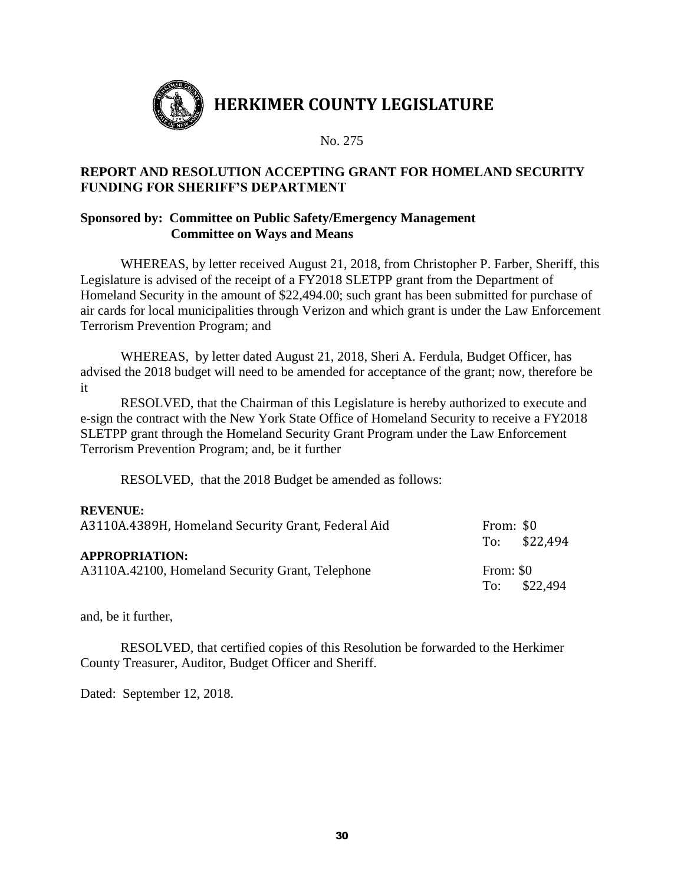

# **REPORT AND RESOLUTION ACCEPTING GRANT FOR HOMELAND SECURITY FUNDING FOR SHERIFF'S DEPARTMENT**

# **Sponsored by: Committee on Public Safety/Emergency Management Committee on Ways and Means**

WHEREAS, by letter received August 21, 2018, from Christopher P. Farber, Sheriff, this Legislature is advised of the receipt of a FY2018 SLETPP grant from the Department of Homeland Security in the amount of \$22,494.00; such grant has been submitted for purchase of air cards for local municipalities through Verizon and which grant is under the Law Enforcement Terrorism Prevention Program; and

WHEREAS, by letter dated August 21, 2018, Sheri A. Ferdula, Budget Officer, has advised the 2018 budget will need to be amended for acceptance of the grant; now, therefore be it

RESOLVED, that the Chairman of this Legislature is hereby authorized to execute and e-sign the contract with the New York State Office of Homeland Security to receive a FY2018 SLETPP grant through the Homeland Security Grant Program under the Law Enforcement Terrorism Prevention Program; and, be it further

RESOLVED, that the 2018 Budget be amended as follows:

## **REVENUE:**

| A3110A.4389H, Homeland Security Grant, Federal Aid | From: \$0     |
|----------------------------------------------------|---------------|
|                                                    | To: $$22,494$ |
| <b>APPROPRIATION:</b>                              |               |
| A3110A.42100, Homeland Security Grant, Telephone   | From: \$0     |
|                                                    | To: $$22,494$ |

and, be it further,

RESOLVED, that certified copies of this Resolution be forwarded to the Herkimer County Treasurer, Auditor, Budget Officer and Sheriff.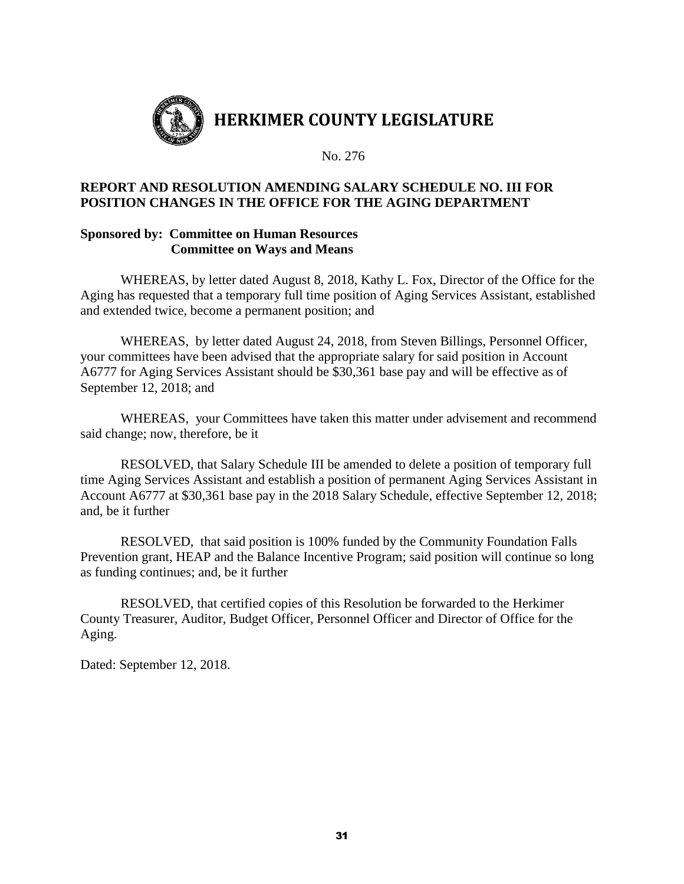

# **REPORT AND RESOLUTION AMENDING SALARY SCHEDULE NO. III FOR POSITION CHANGES IN THE OFFICE FOR THE AGING DEPARTMENT**

## **Sponsored by: Committee on Human Resources Committee on Ways and Means**

WHEREAS, by letter dated August 8, 2018, Kathy L. Fox, Director of the Office for the Aging has requested that a temporary full time position of Aging Services Assistant, established and extended twice, become a permanent position; and

WHEREAS, by letter dated August 24, 2018, from Steven Billings, Personnel Officer, your committees have been advised that the appropriate salary for said position in Account A6777 for Aging Services Assistant should be \$30,361 base pay and will be effective as of September 12, 2018; and

WHEREAS, your Committees have taken this matter under advisement and recommend said change; now, therefore, be it

RESOLVED, that Salary Schedule III be amended to delete a position of temporary full time Aging Services Assistant and establish a position of permanent Aging Services Assistant in Account A6777 at \$30,361 base pay in the 2018 Salary Schedule, effective September 12, 2018; and, be it further

RESOLVED, that said position is 100% funded by the Community Foundation Falls Prevention grant, HEAP and the Balance Incentive Program; said position will continue so long as funding continues; and, be it further

RESOLVED, that certified copies of this Resolution be forwarded to the Herkimer County Treasurer, Auditor, Budget Officer, Personnel Officer and Director of Office for the Aging.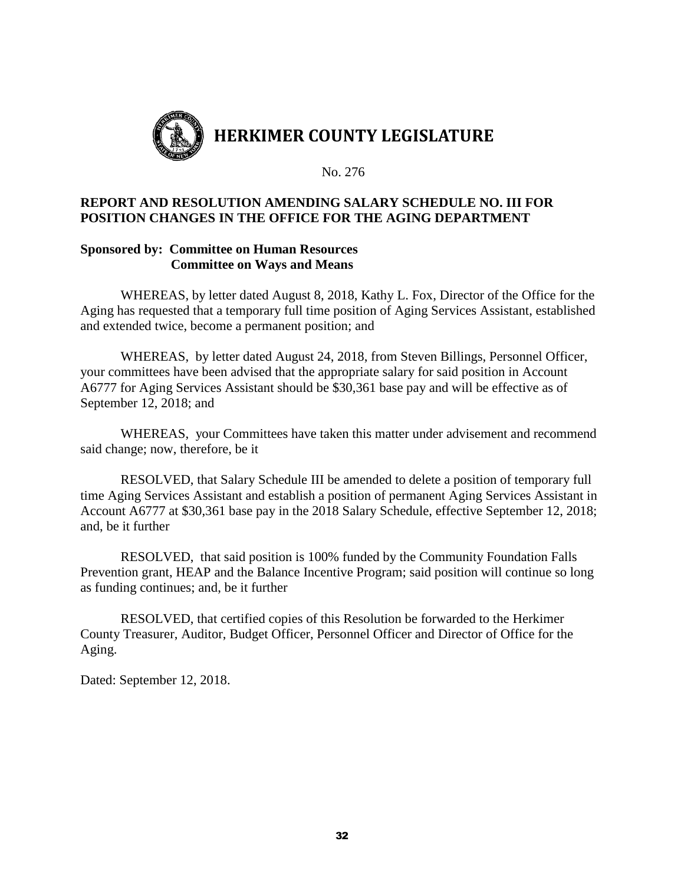

# **REPORT AND RESOLUTION AMENDING SALARY SCHEDULE NO. III FOR POSITION CHANGES IN THE OFFICE FOR THE AGING DEPARTMENT**

### **Sponsored by: Committee on Human Resources Committee on Ways and Means**

WHEREAS, by letter dated August 8, 2018, Kathy L. Fox, Director of the Office for the Aging has requested that a temporary full time position of Aging Services Assistant, established and extended twice, become a permanent position; and

WHEREAS, by letter dated August 24, 2018, from Steven Billings, Personnel Officer, your committees have been advised that the appropriate salary for said position in Account A6777 for Aging Services Assistant should be \$30,361 base pay and will be effective as of September 12, 2018; and

WHEREAS, your Committees have taken this matter under advisement and recommend said change; now, therefore, be it

RESOLVED, that Salary Schedule III be amended to delete a position of temporary full time Aging Services Assistant and establish a position of permanent Aging Services Assistant in Account A6777 at \$30,361 base pay in the 2018 Salary Schedule, effective September 12, 2018; and, be it further

RESOLVED, that said position is 100% funded by the Community Foundation Falls Prevention grant, HEAP and the Balance Incentive Program; said position will continue so long as funding continues; and, be it further

RESOLVED, that certified copies of this Resolution be forwarded to the Herkimer County Treasurer, Auditor, Budget Officer, Personnel Officer and Director of Office for the Aging.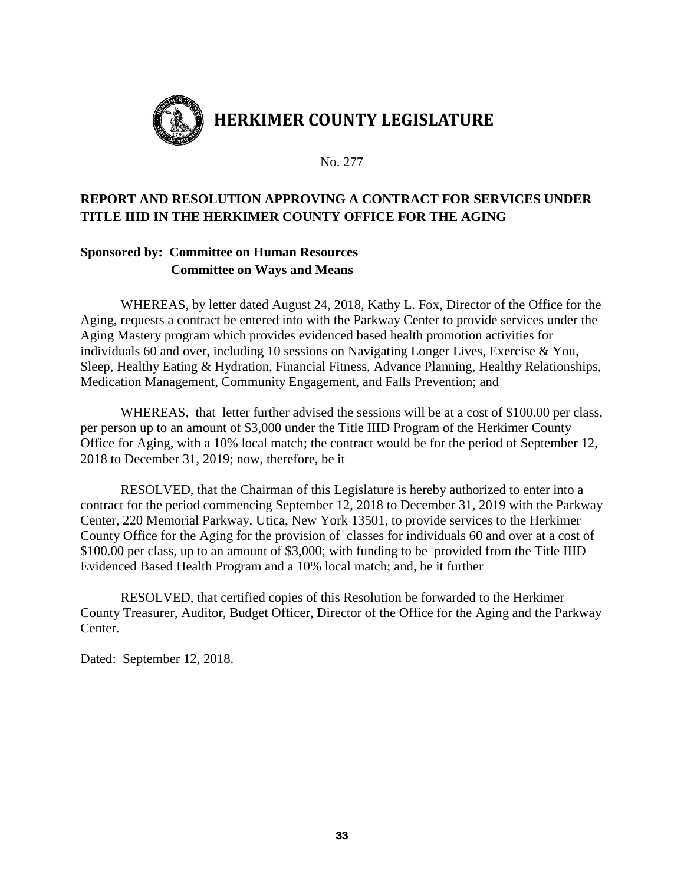

# **REPORT AND RESOLUTION APPROVING A CONTRACT FOR SERVICES UNDER TITLE IIID IN THE HERKIMER COUNTY OFFICE FOR THE AGING**

# **Sponsored by: Committee on Human Resources Committee on Ways and Means**

WHEREAS, by letter dated August 24, 2018, Kathy L. Fox, Director of the Office for the Aging, requests a contract be entered into with the Parkway Center to provide services under the Aging Mastery program which provides evidenced based health promotion activities for individuals 60 and over, including 10 sessions on Navigating Longer Lives, Exercise & You, Sleep, Healthy Eating & Hydration, Financial Fitness, Advance Planning, Healthy Relationships, Medication Management, Community Engagement, and Falls Prevention; and

WHEREAS, that letter further advised the sessions will be at a cost of \$100.00 per class, per person up to an amount of \$3,000 under the Title IIID Program of the Herkimer County Office for Aging, with a 10% local match; the contract would be for the period of September 12, 2018 to December 31, 2019; now, therefore, be it

RESOLVED, that the Chairman of this Legislature is hereby authorized to enter into a contract for the period commencing September 12, 2018 to December 31, 2019 with the Parkway Center, 220 Memorial Parkway, Utica, New York 13501, to provide services to the Herkimer County Office for the Aging for the provision of classes for individuals 60 and over at a cost of \$100.00 per class, up to an amount of \$3,000; with funding to be provided from the Title IIID Evidenced Based Health Program and a 10% local match; and, be it further

RESOLVED, that certified copies of this Resolution be forwarded to the Herkimer County Treasurer, Auditor, Budget Officer, Director of the Office for the Aging and the Parkway Center.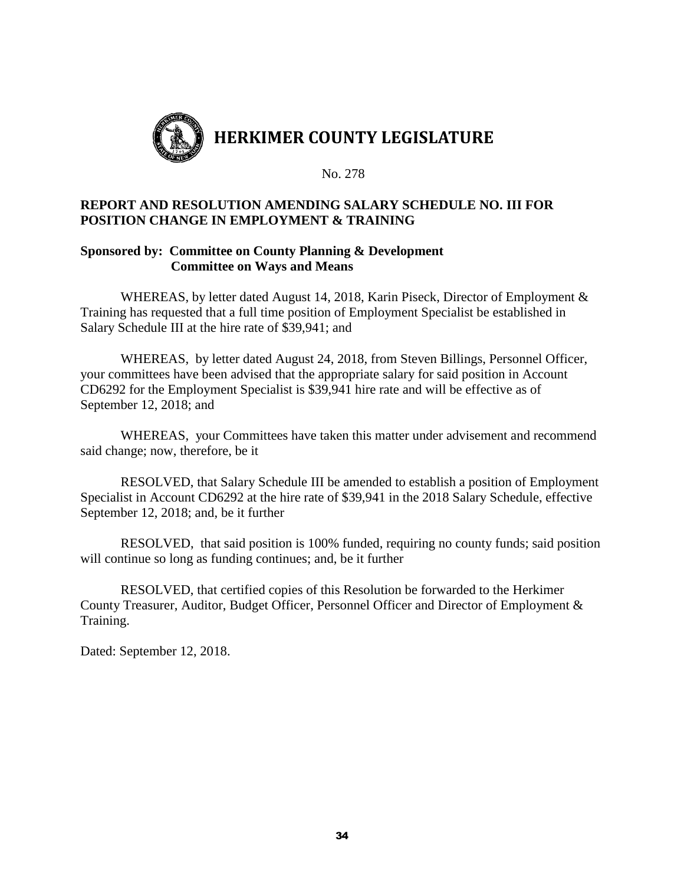

## **REPORT AND RESOLUTION AMENDING SALARY SCHEDULE NO. III FOR POSITION CHANGE IN EMPLOYMENT & TRAINING**

## **Sponsored by: Committee on County Planning & Development Committee on Ways and Means**

WHEREAS, by letter dated August 14, 2018, Karin Piseck, Director of Employment & Training has requested that a full time position of Employment Specialist be established in Salary Schedule III at the hire rate of \$39,941; and

WHEREAS, by letter dated August 24, 2018, from Steven Billings, Personnel Officer, your committees have been advised that the appropriate salary for said position in Account CD6292 for the Employment Specialist is \$39,941 hire rate and will be effective as of September 12, 2018; and

WHEREAS, your Committees have taken this matter under advisement and recommend said change; now, therefore, be it

RESOLVED, that Salary Schedule III be amended to establish a position of Employment Specialist in Account CD6292 at the hire rate of \$39,941 in the 2018 Salary Schedule, effective September 12, 2018; and, be it further

RESOLVED, that said position is 100% funded, requiring no county funds; said position will continue so long as funding continues; and, be it further

RESOLVED, that certified copies of this Resolution be forwarded to the Herkimer County Treasurer, Auditor, Budget Officer, Personnel Officer and Director of Employment & Training.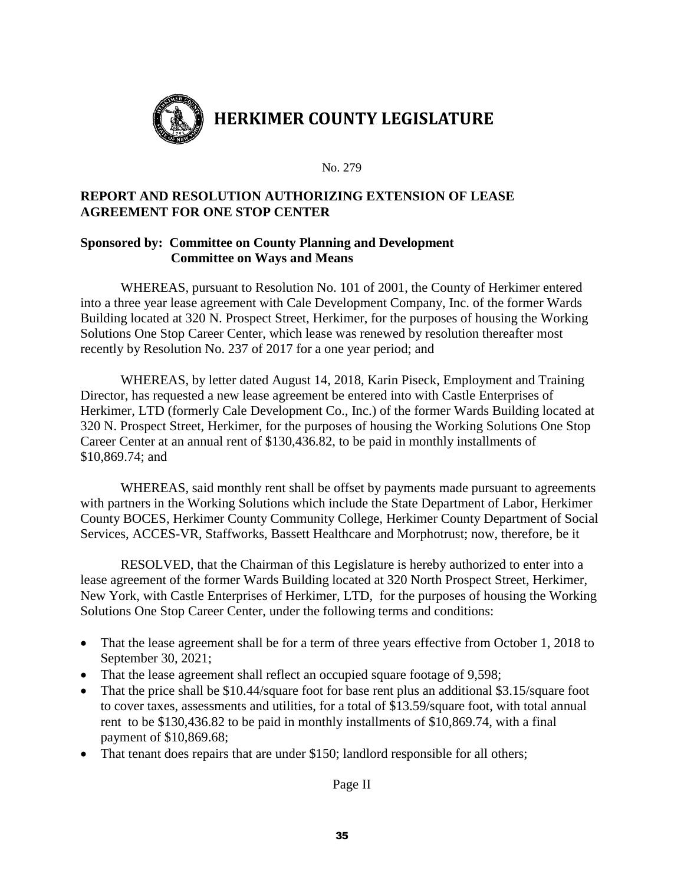

# **REPORT AND RESOLUTION AUTHORIZING EXTENSION OF LEASE AGREEMENT FOR ONE STOP CENTER**

# **Sponsored by: Committee on County Planning and Development Committee on Ways and Means**

WHEREAS, pursuant to Resolution No. 101 of 2001, the County of Herkimer entered into a three year lease agreement with Cale Development Company, Inc. of the former Wards Building located at 320 N. Prospect Street, Herkimer, for the purposes of housing the Working Solutions One Stop Career Center, which lease was renewed by resolution thereafter most recently by Resolution No. 237 of 2017 for a one year period; and

WHEREAS, by letter dated August 14, 2018, Karin Piseck, Employment and Training Director, has requested a new lease agreement be entered into with Castle Enterprises of Herkimer, LTD (formerly Cale Development Co., Inc.) of the former Wards Building located at 320 N. Prospect Street, Herkimer, for the purposes of housing the Working Solutions One Stop Career Center at an annual rent of \$130,436.82, to be paid in monthly installments of \$10,869.74; and

WHEREAS, said monthly rent shall be offset by payments made pursuant to agreements with partners in the Working Solutions which include the State Department of Labor, Herkimer County BOCES, Herkimer County Community College, Herkimer County Department of Social Services, ACCES-VR, Staffworks, Bassett Healthcare and Morphotrust; now, therefore, be it

RESOLVED, that the Chairman of this Legislature is hereby authorized to enter into a lease agreement of the former Wards Building located at 320 North Prospect Street, Herkimer, New York, with Castle Enterprises of Herkimer, LTD, for the purposes of housing the Working Solutions One Stop Career Center, under the following terms and conditions:

- That the lease agreement shall be for a term of three years effective from October 1, 2018 to September 30, 2021;
- That the lease agreement shall reflect an occupied square footage of 9,598;
- That the price shall be \$10.44/square foot for base rent plus an additional \$3.15/square foot to cover taxes, assessments and utilities, for a total of \$13.59/square foot, with total annual rent to be \$130,436.82 to be paid in monthly installments of \$10,869.74, with a final payment of \$10,869.68;
- That tenant does repairs that are under \$150; landlord responsible for all others;

Page II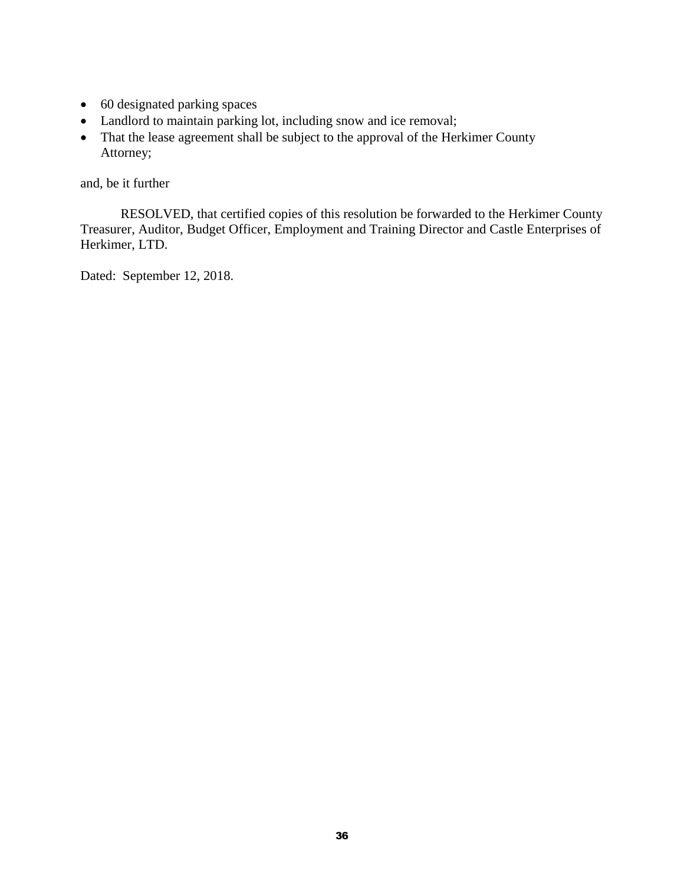- 60 designated parking spaces
- Landlord to maintain parking lot, including snow and ice removal;
- That the lease agreement shall be subject to the approval of the Herkimer County Attorney;

and, be it further

RESOLVED, that certified copies of this resolution be forwarded to the Herkimer County Treasurer, Auditor, Budget Officer, Employment and Training Director and Castle Enterprises of Herkimer, LTD.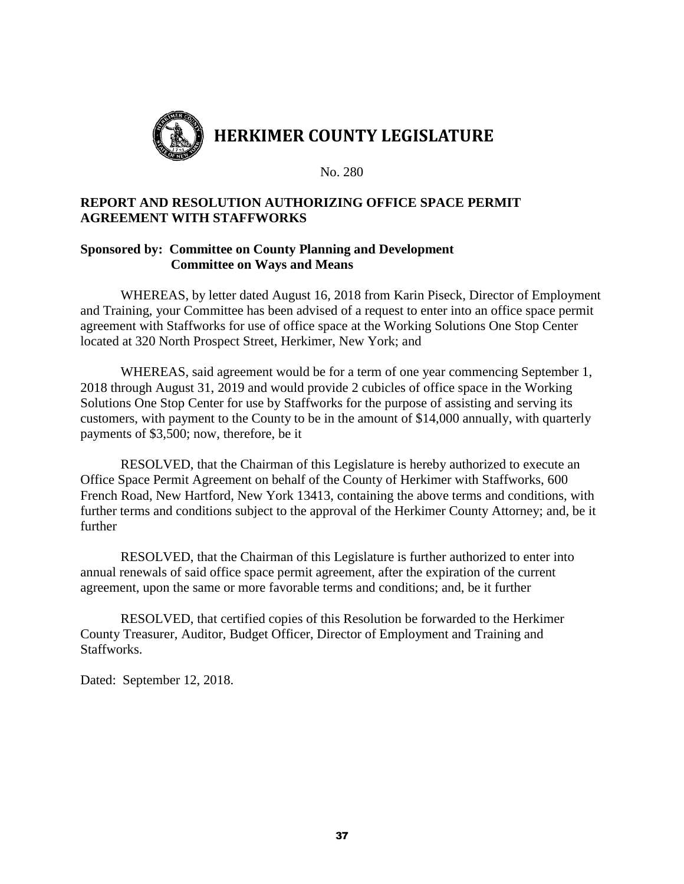

# **REPORT AND RESOLUTION AUTHORIZING OFFICE SPACE PERMIT AGREEMENT WITH STAFFWORKS**

## **Sponsored by: Committee on County Planning and Development Committee on Ways and Means**

WHEREAS, by letter dated August 16, 2018 from Karin Piseck, Director of Employment and Training, your Committee has been advised of a request to enter into an office space permit agreement with Staffworks for use of office space at the Working Solutions One Stop Center located at 320 North Prospect Street, Herkimer, New York; and

WHEREAS, said agreement would be for a term of one year commencing September 1, 2018 through August 31, 2019 and would provide 2 cubicles of office space in the Working Solutions One Stop Center for use by Staffworks for the purpose of assisting and serving its customers, with payment to the County to be in the amount of \$14,000 annually, with quarterly payments of \$3,500; now, therefore, be it

RESOLVED, that the Chairman of this Legislature is hereby authorized to execute an Office Space Permit Agreement on behalf of the County of Herkimer with Staffworks, 600 French Road, New Hartford, New York 13413, containing the above terms and conditions, with further terms and conditions subject to the approval of the Herkimer County Attorney; and, be it further

RESOLVED, that the Chairman of this Legislature is further authorized to enter into annual renewals of said office space permit agreement, after the expiration of the current agreement, upon the same or more favorable terms and conditions; and, be it further

RESOLVED, that certified copies of this Resolution be forwarded to the Herkimer County Treasurer, Auditor, Budget Officer, Director of Employment and Training and Staffworks.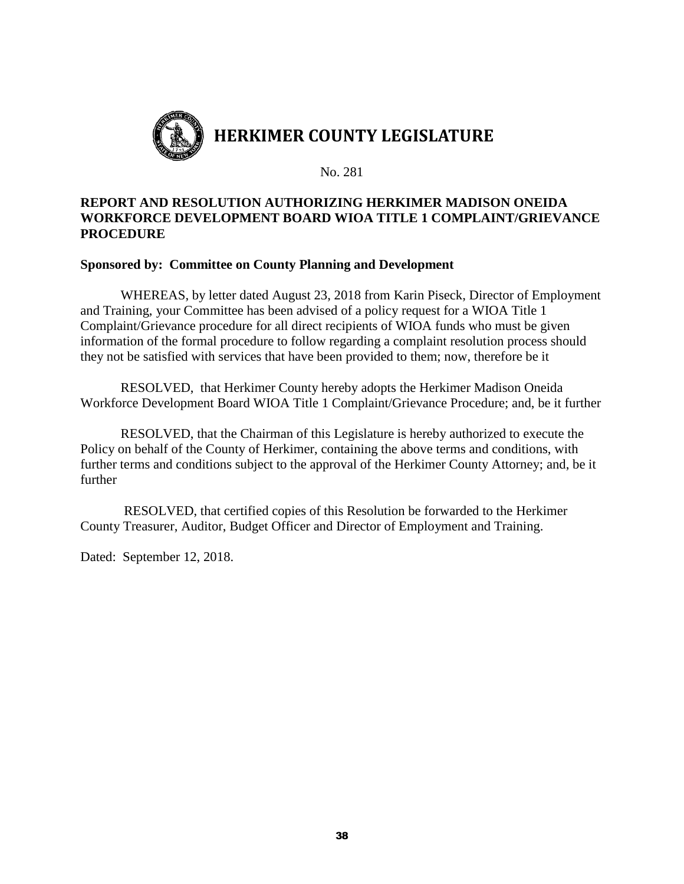

# **REPORT AND RESOLUTION AUTHORIZING HERKIMER MADISON ONEIDA WORKFORCE DEVELOPMENT BOARD WIOA TITLE 1 COMPLAINT/GRIEVANCE PROCEDURE**

## **Sponsored by: Committee on County Planning and Development**

WHEREAS, by letter dated August 23, 2018 from Karin Piseck, Director of Employment and Training, your Committee has been advised of a policy request for a WIOA Title 1 Complaint/Grievance procedure for all direct recipients of WIOA funds who must be given information of the formal procedure to follow regarding a complaint resolution process should they not be satisfied with services that have been provided to them; now, therefore be it

RESOLVED, that Herkimer County hereby adopts the Herkimer Madison Oneida Workforce Development Board WIOA Title 1 Complaint/Grievance Procedure; and, be it further

RESOLVED, that the Chairman of this Legislature is hereby authorized to execute the Policy on behalf of the County of Herkimer, containing the above terms and conditions, with further terms and conditions subject to the approval of the Herkimer County Attorney; and, be it further

RESOLVED, that certified copies of this Resolution be forwarded to the Herkimer County Treasurer, Auditor, Budget Officer and Director of Employment and Training.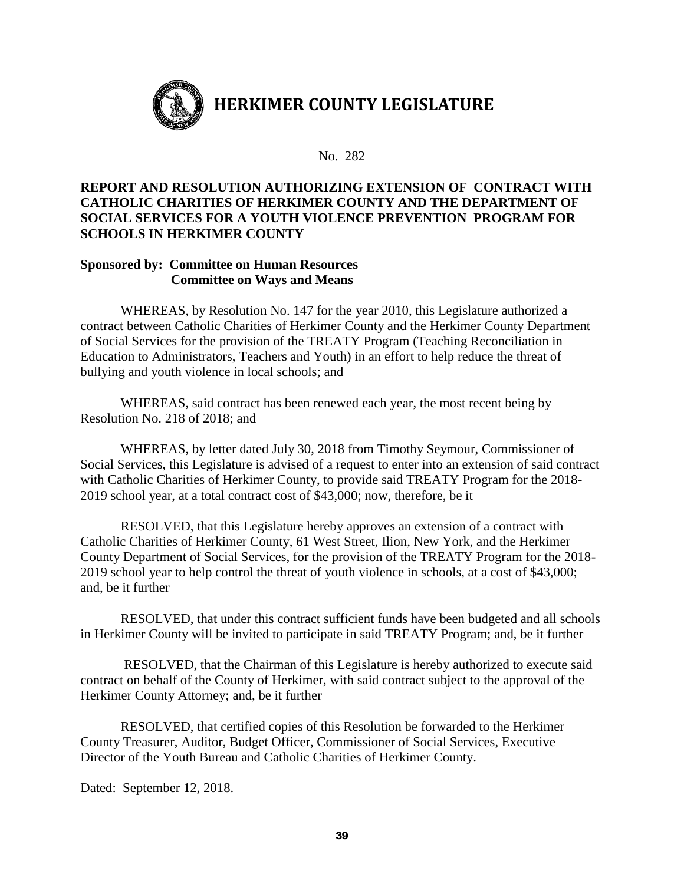

# **REPORT AND RESOLUTION AUTHORIZING EXTENSION OF CONTRACT WITH CATHOLIC CHARITIES OF HERKIMER COUNTY AND THE DEPARTMENT OF SOCIAL SERVICES FOR A YOUTH VIOLENCE PREVENTION PROGRAM FOR SCHOOLS IN HERKIMER COUNTY**

# **Sponsored by: Committee on Human Resources Committee on Ways and Means**

WHEREAS, by Resolution No. 147 for the year 2010, this Legislature authorized a contract between Catholic Charities of Herkimer County and the Herkimer County Department of Social Services for the provision of the TREATY Program (Teaching Reconciliation in Education to Administrators, Teachers and Youth) in an effort to help reduce the threat of bullying and youth violence in local schools; and

WHEREAS, said contract has been renewed each year, the most recent being by Resolution No. 218 of 2018; and

WHEREAS, by letter dated July 30, 2018 from Timothy Seymour, Commissioner of Social Services, this Legislature is advised of a request to enter into an extension of said contract with Catholic Charities of Herkimer County, to provide said TREATY Program for the 2018- 2019 school year, at a total contract cost of \$43,000; now, therefore, be it

RESOLVED, that this Legislature hereby approves an extension of a contract with Catholic Charities of Herkimer County, 61 West Street, Ilion, New York, and the Herkimer County Department of Social Services, for the provision of the TREATY Program for the 2018- 2019 school year to help control the threat of youth violence in schools, at a cost of \$43,000; and, be it further

RESOLVED, that under this contract sufficient funds have been budgeted and all schools in Herkimer County will be invited to participate in said TREATY Program; and, be it further

RESOLVED, that the Chairman of this Legislature is hereby authorized to execute said contract on behalf of the County of Herkimer, with said contract subject to the approval of the Herkimer County Attorney; and, be it further

RESOLVED, that certified copies of this Resolution be forwarded to the Herkimer County Treasurer, Auditor, Budget Officer, Commissioner of Social Services, Executive Director of the Youth Bureau and Catholic Charities of Herkimer County.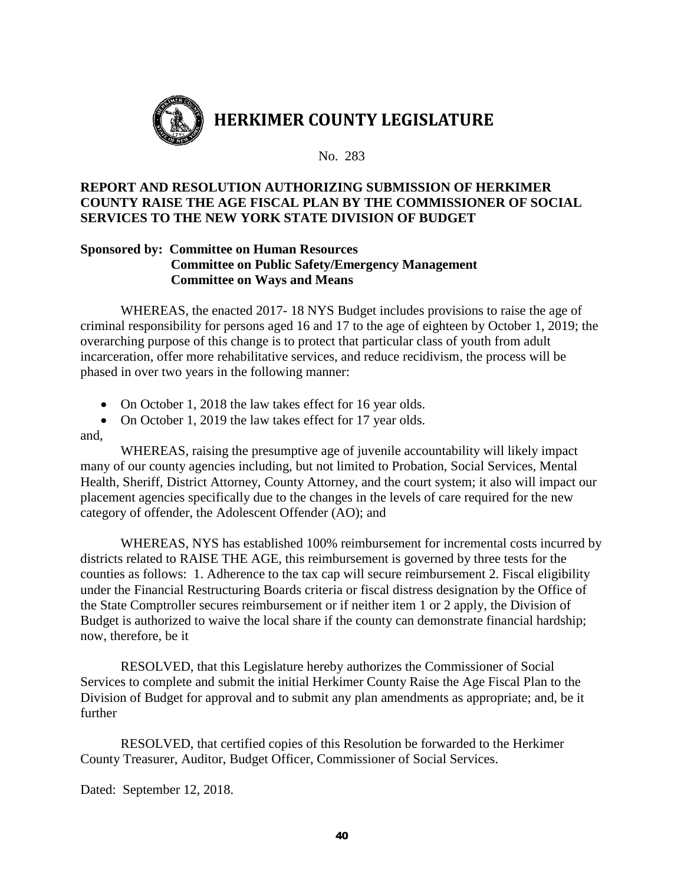

# **REPORT AND RESOLUTION AUTHORIZING SUBMISSION OF HERKIMER COUNTY RAISE THE AGE FISCAL PLAN BY THE COMMISSIONER OF SOCIAL SERVICES TO THE NEW YORK STATE DIVISION OF BUDGET**

## **Sponsored by: Committee on Human Resources Committee on Public Safety/Emergency Management Committee on Ways and Means**

WHEREAS, the enacted 2017- 18 NYS Budget includes provisions to raise the age of criminal responsibility for persons aged 16 and 17 to the age of eighteen by October 1, 2019; the overarching purpose of this change is to protect that particular class of youth from adult incarceration, offer more rehabilitative services, and reduce recidivism, the process will be phased in over two years in the following manner:

- On October 1, 2018 the law takes effect for 16 year olds.
- On October 1, 2019 the law takes effect for 17 year olds.

## and,

WHEREAS, raising the presumptive age of juvenile accountability will likely impact many of our county agencies including, but not limited to Probation, Social Services, Mental Health, Sheriff, District Attorney, County Attorney, and the court system; it also will impact our placement agencies specifically due to the changes in the levels of care required for the new category of offender, the Adolescent Offender (AO); and

WHEREAS, NYS has established 100% reimbursement for incremental costs incurred by districts related to RAISE THE AGE, this reimbursement is governed by three tests for the counties as follows: 1. Adherence to the tax cap will secure reimbursement 2. Fiscal eligibility under the Financial Restructuring Boards criteria or fiscal distress designation by the Office of the State Comptroller secures reimbursement or if neither item 1 or 2 apply, the Division of Budget is authorized to waive the local share if the county can demonstrate financial hardship; now, therefore, be it

RESOLVED, that this Legislature hereby authorizes the Commissioner of Social Services to complete and submit the initial Herkimer County Raise the Age Fiscal Plan to the Division of Budget for approval and to submit any plan amendments as appropriate; and, be it further

RESOLVED, that certified copies of this Resolution be forwarded to the Herkimer County Treasurer, Auditor, Budget Officer, Commissioner of Social Services.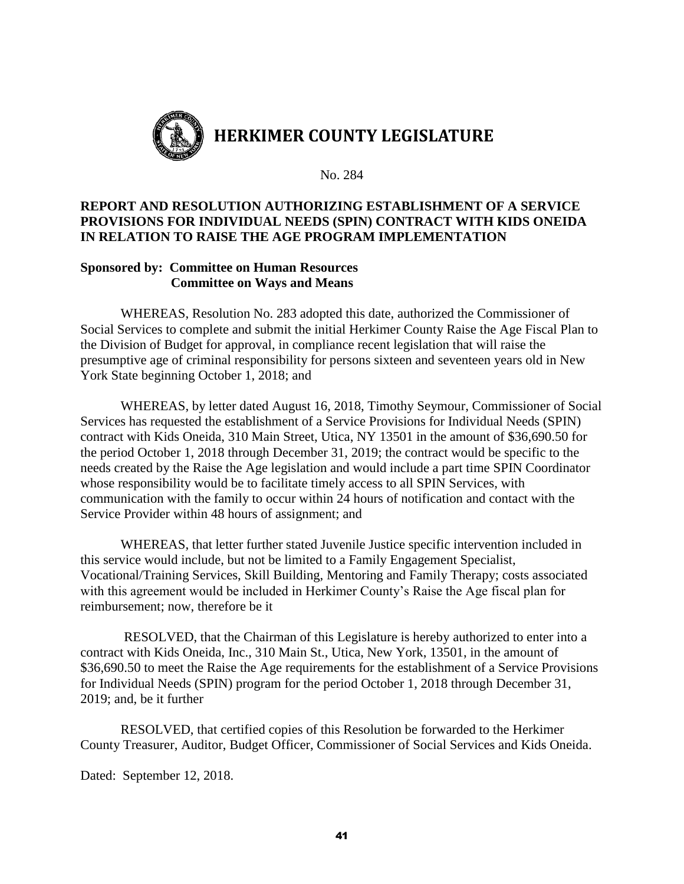

# **REPORT AND RESOLUTION AUTHORIZING ESTABLISHMENT OF A SERVICE PROVISIONS FOR INDIVIDUAL NEEDS (SPIN) CONTRACT WITH KIDS ONEIDA IN RELATION TO RAISE THE AGE PROGRAM IMPLEMENTATION**

# **Sponsored by: Committee on Human Resources Committee on Ways and Means**

WHEREAS, Resolution No. 283 adopted this date, authorized the Commissioner of Social Services to complete and submit the initial Herkimer County Raise the Age Fiscal Plan to the Division of Budget for approval, in compliance recent legislation that will raise the presumptive age of criminal responsibility for persons sixteen and seventeen years old in New York State beginning October 1, 2018; and

WHEREAS, by letter dated August 16, 2018, Timothy Seymour, Commissioner of Social Services has requested the establishment of a Service Provisions for Individual Needs (SPIN) contract with Kids Oneida, 310 Main Street, Utica, NY 13501 in the amount of \$36,690.50 for the period October 1, 2018 through December 31, 2019; the contract would be specific to the needs created by the Raise the Age legislation and would include a part time SPIN Coordinator whose responsibility would be to facilitate timely access to all SPIN Services, with communication with the family to occur within 24 hours of notification and contact with the Service Provider within 48 hours of assignment; and

WHEREAS, that letter further stated Juvenile Justice specific intervention included in this service would include, but not be limited to a Family Engagement Specialist, Vocational/Training Services, Skill Building, Mentoring and Family Therapy; costs associated with this agreement would be included in Herkimer County's Raise the Age fiscal plan for reimbursement; now, therefore be it

RESOLVED, that the Chairman of this Legislature is hereby authorized to enter into a contract with Kids Oneida, Inc., 310 Main St., Utica, New York, 13501, in the amount of \$36,690.50 to meet the Raise the Age requirements for the establishment of a Service Provisions for Individual Needs (SPIN) program for the period October 1, 2018 through December 31, 2019; and, be it further

RESOLVED, that certified copies of this Resolution be forwarded to the Herkimer County Treasurer, Auditor, Budget Officer, Commissioner of Social Services and Kids Oneida.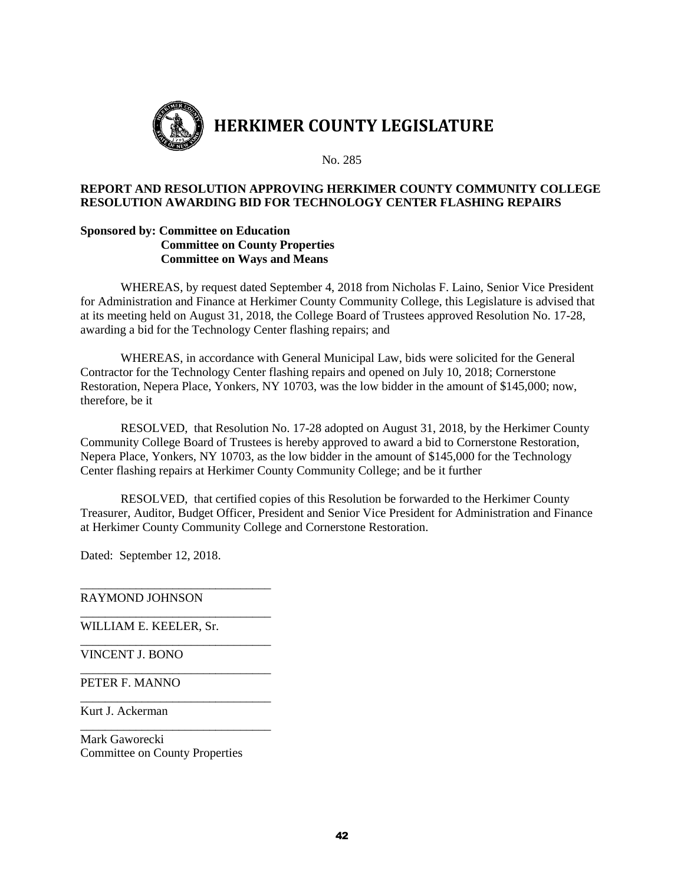

### **REPORT AND RESOLUTION APPROVING HERKIMER COUNTY COMMUNITY COLLEGE RESOLUTION AWARDING BID FOR TECHNOLOGY CENTER FLASHING REPAIRS**

#### **Sponsored by: Committee on Education Committee on County Properties Committee on Ways and Means**

WHEREAS, by request dated September 4, 2018 from Nicholas F. Laino, Senior Vice President for Administration and Finance at Herkimer County Community College, this Legislature is advised that at its meeting held on August 31, 2018, the College Board of Trustees approved Resolution No. 17-28, awarding a bid for the Technology Center flashing repairs; and

WHEREAS, in accordance with General Municipal Law, bids were solicited for the General Contractor for the Technology Center flashing repairs and opened on July 10, 2018; Cornerstone Restoration, Nepera Place, Yonkers, NY 10703, was the low bidder in the amount of \$145,000; now, therefore, be it

RESOLVED, that Resolution No. 17-28 adopted on August 31, 2018, by the Herkimer County Community College Board of Trustees is hereby approved to award a bid to Cornerstone Restoration, Nepera Place, Yonkers, NY 10703, as the low bidder in the amount of \$145,000 for the Technology Center flashing repairs at Herkimer County Community College; and be it further

RESOLVED, that certified copies of this Resolution be forwarded to the Herkimer County Treasurer, Auditor, Budget Officer, President and Senior Vice President for Administration and Finance at Herkimer County Community College and Cornerstone Restoration.

Dated: September 12, 2018.

\_\_\_\_\_\_\_\_\_\_\_\_\_\_\_\_\_\_\_\_\_\_\_\_\_\_\_\_\_\_\_ RAYMOND JOHNSON

WILLIAM E. KEELER, Sr.

\_\_\_\_\_\_\_\_\_\_\_\_\_\_\_\_\_\_\_\_\_\_\_\_\_\_\_\_\_\_\_

\_\_\_\_\_\_\_\_\_\_\_\_\_\_\_\_\_\_\_\_\_\_\_\_\_\_\_\_\_\_\_

\_\_\_\_\_\_\_\_\_\_\_\_\_\_\_\_\_\_\_\_\_\_\_\_\_\_\_\_\_\_\_

\_\_\_\_\_\_\_\_\_\_\_\_\_\_\_\_\_\_\_\_\_\_\_\_\_\_\_\_\_\_\_

\_\_\_\_\_\_\_\_\_\_\_\_\_\_\_\_\_\_\_\_\_\_\_\_\_\_\_\_\_\_\_

VINCENT J. BONO

PETER F. MANNO

Kurt J. Ackerman

Mark Gaworecki Committee on County Properties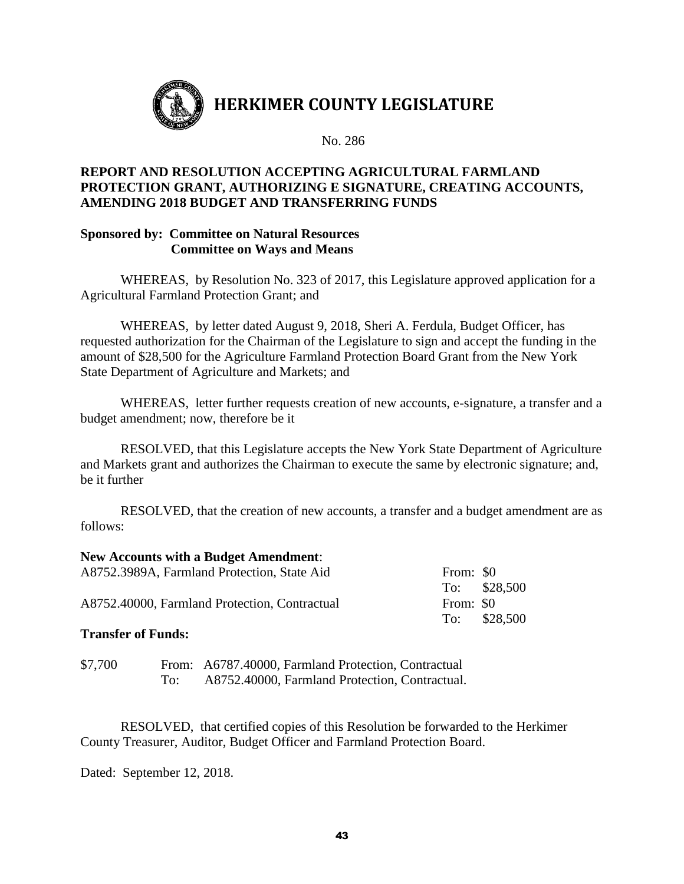

# **REPORT AND RESOLUTION ACCEPTING AGRICULTURAL FARMLAND PROTECTION GRANT, AUTHORIZING E SIGNATURE, CREATING ACCOUNTS, AMENDING 2018 BUDGET AND TRANSFERRING FUNDS**

## **Sponsored by: Committee on Natural Resources Committee on Ways and Means**

WHEREAS,by Resolution No. 323 of 2017, this Legislature approved application for a Agricultural Farmland Protection Grant; and

WHEREAS, by letter dated August 9, 2018, Sheri A. Ferdula, Budget Officer, has requested authorization for the Chairman of the Legislature to sign and accept the funding in the amount of \$28,500 for the Agriculture Farmland Protection Board Grant from the New York State Department of Agriculture and Markets; and

WHEREAS, letter further requests creation of new accounts, e-signature, a transfer and a budget amendment; now, therefore be it

RESOLVED, that this Legislature accepts the New York State Department of Agriculture and Markets grant and authorizes the Chairman to execute the same by electronic signature; and, be it further

RESOLVED, that the creation of new accounts, a transfer and a budget amendment are as follows:

## **New Accounts with a Budget Amendment**:

| To: \$28,500           |
|------------------------|
|                        |
| $To:$ \$28,500         |
| From: \$0<br>From: \$0 |

# **Transfer of Funds:**

| \$7,700 | From: A6787.40000, Farmland Protection, Contractual |
|---------|-----------------------------------------------------|
|         | A8752.40000, Farmland Protection, Contractual.      |

RESOLVED, that certified copies of this Resolution be forwarded to the Herkimer County Treasurer, Auditor, Budget Officer and Farmland Protection Board.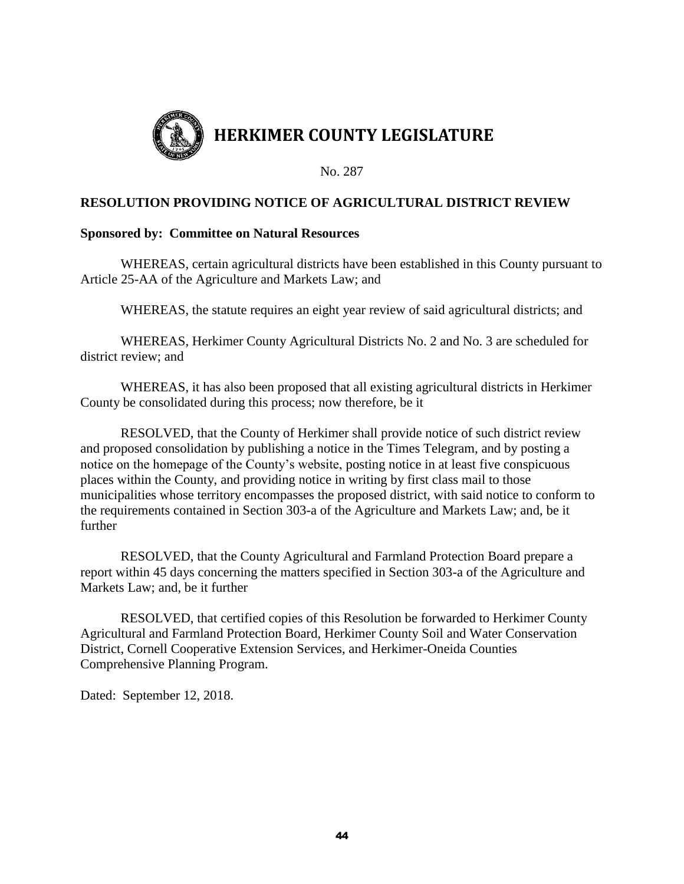

# **RESOLUTION PROVIDING NOTICE OF AGRICULTURAL DISTRICT REVIEW**

## **Sponsored by: Committee on Natural Resources**

WHEREAS, certain agricultural districts have been established in this County pursuant to Article 25-AA of the Agriculture and Markets Law; and

WHEREAS, the statute requires an eight year review of said agricultural districts; and

WHEREAS, Herkimer County Agricultural Districts No. 2 and No. 3 are scheduled for district review; and

WHEREAS, it has also been proposed that all existing agricultural districts in Herkimer County be consolidated during this process; now therefore, be it

RESOLVED, that the County of Herkimer shall provide notice of such district review and proposed consolidation by publishing a notice in the Times Telegram, and by posting a notice on the homepage of the County's website, posting notice in at least five conspicuous places within the County, and providing notice in writing by first class mail to those municipalities whose territory encompasses the proposed district, with said notice to conform to the requirements contained in Section 303-a of the Agriculture and Markets Law; and, be it further

RESOLVED, that the County Agricultural and Farmland Protection Board prepare a report within 45 days concerning the matters specified in Section 303-a of the Agriculture and Markets Law; and, be it further

RESOLVED, that certified copies of this Resolution be forwarded to Herkimer County Agricultural and Farmland Protection Board, Herkimer County Soil and Water Conservation District, Cornell Cooperative Extension Services, and Herkimer-Oneida Counties Comprehensive Planning Program.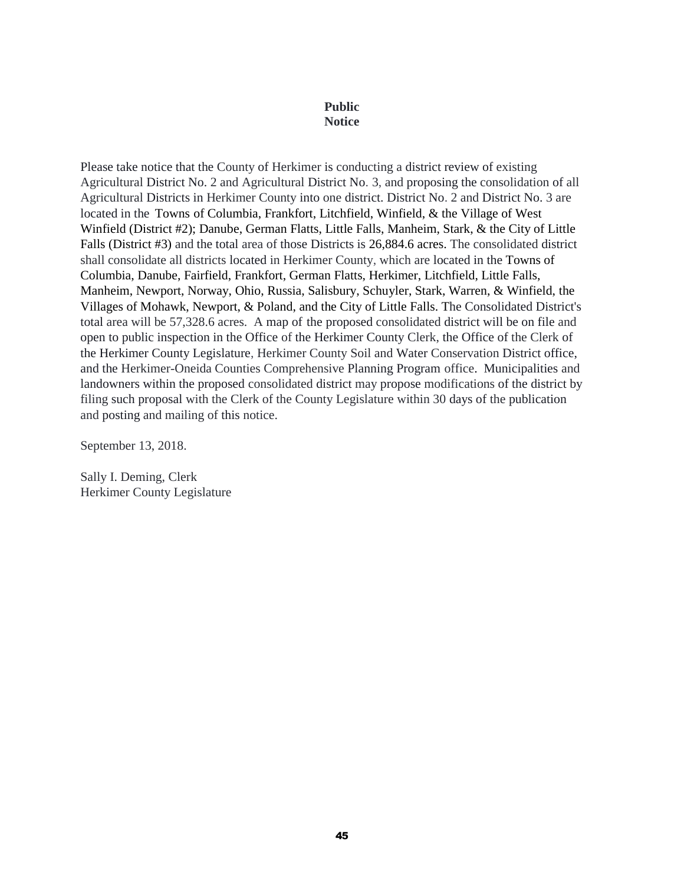#### **Public Notice**

Please take notice that the County of Herkimer is conducting a district review of existing Agricultural District No. 2 and Agricultural District No. 3, and proposing the consolidation of all Agricultural Districts in Herkimer County into one district. District No. 2 and District No. 3 are located in the Towns of Columbia, Frankfort, Litchfield, Winfield, & the Village of West Winfield (District #2); Danube, German Flatts, Little Falls, Manheim, Stark, & the City of Little Falls (District #3) and the total area of those Districts is 26,884.6 acres. The consolidated district shall consolidate all districts located in Herkimer County, which are located in the Towns of Columbia, Danube, Fairfield, Frankfort, German Flatts, Herkimer, Litchfield, Little Falls, Manheim, Newport, Norway, Ohio, Russia, Salisbury, Schuyler, Stark, Warren, & Winfield, the Villages of Mohawk, Newport, & Poland, and the City of Little Falls. The Consolidated District's total area will be 57,328.6 acres. A map of the proposed consolidated district will be on file and open to public inspection in the Office of the Herkimer County Clerk, the Office of the Clerk of the Herkimer County Legislature, Herkimer County Soil and Water Conservation District office, and the Herkimer-Oneida Counties Comprehensive Planning Program office. Municipalities and landowners within the proposed consolidated district may propose modifications of the district by filing such proposal with the Clerk of the County Legislature within 30 days of the publication and posting and mailing of this notice.

September 13, 2018.

Sally I. Deming, Clerk Herkimer County Legislature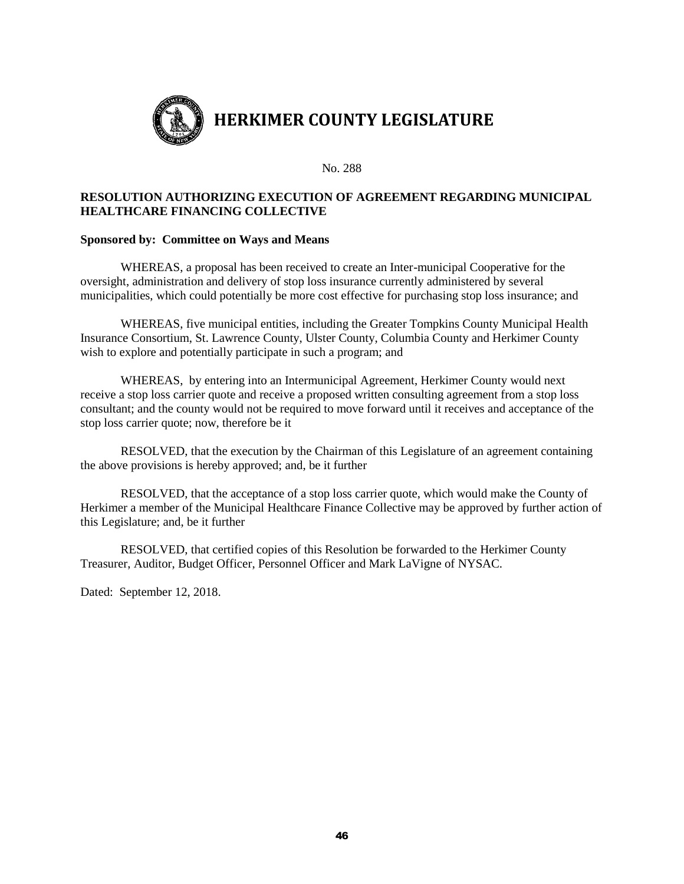

## **RESOLUTION AUTHORIZING EXECUTION OF AGREEMENT REGARDING MUNICIPAL HEALTHCARE FINANCING COLLECTIVE**

#### **Sponsored by: Committee on Ways and Means**

WHEREAS, a proposal has been received to create an Inter-municipal Cooperative for the oversight, administration and delivery of stop loss insurance currently administered by several municipalities, which could potentially be more cost effective for purchasing stop loss insurance; and

WHEREAS, five municipal entities, including the Greater Tompkins County Municipal Health Insurance Consortium, St. Lawrence County, Ulster County, Columbia County and Herkimer County wish to explore and potentially participate in such a program; and

WHEREAS, by entering into an Intermunicipal Agreement, Herkimer County would next receive a stop loss carrier quote and receive a proposed written consulting agreement from a stop loss consultant; and the county would not be required to move forward until it receives and acceptance of the stop loss carrier quote; now, therefore be it

RESOLVED, that the execution by the Chairman of this Legislature of an agreement containing the above provisions is hereby approved; and, be it further

RESOLVED, that the acceptance of a stop loss carrier quote, which would make the County of Herkimer a member of the Municipal Healthcare Finance Collective may be approved by further action of this Legislature; and, be it further

RESOLVED, that certified copies of this Resolution be forwarded to the Herkimer County Treasurer, Auditor, Budget Officer, Personnel Officer and Mark LaVigne of NYSAC.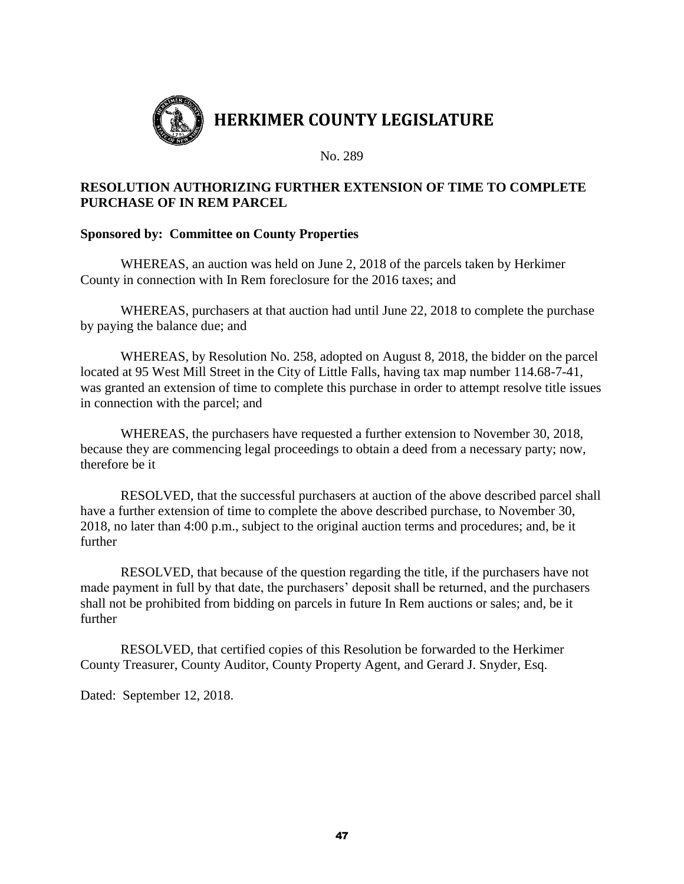

# **RESOLUTION AUTHORIZING FURTHER EXTENSION OF TIME TO COMPLETE PURCHASE OF IN REM PARCEL**

# **Sponsored by: Committee on County Properties**

WHEREAS, an auction was held on June 2, 2018 of the parcels taken by Herkimer County in connection with In Rem foreclosure for the 2016 taxes; and

WHEREAS, purchasers at that auction had until June 22, 2018 to complete the purchase by paying the balance due; and

WHEREAS, by Resolution No. 258, adopted on August 8, 2018, the bidder on the parcel located at 95 West Mill Street in the City of Little Falls, having tax map number 114.68-7-41, was granted an extension of time to complete this purchase in order to attempt resolve title issues in connection with the parcel; and

WHEREAS, the purchasers have requested a further extension to November 30, 2018, because they are commencing legal proceedings to obtain a deed from a necessary party; now, therefore be it

RESOLVED, that the successful purchasers at auction of the above described parcel shall have a further extension of time to complete the above described purchase, to November 30, 2018, no later than 4:00 p.m., subject to the original auction terms and procedures; and, be it further

RESOLVED, that because of the question regarding the title, if the purchasers have not made payment in full by that date, the purchasers' deposit shall be returned, and the purchasers shall not be prohibited from bidding on parcels in future In Rem auctions or sales; and, be it further

RESOLVED, that certified copies of this Resolution be forwarded to the Herkimer County Treasurer, County Auditor, County Property Agent, and Gerard J. Snyder, Esq.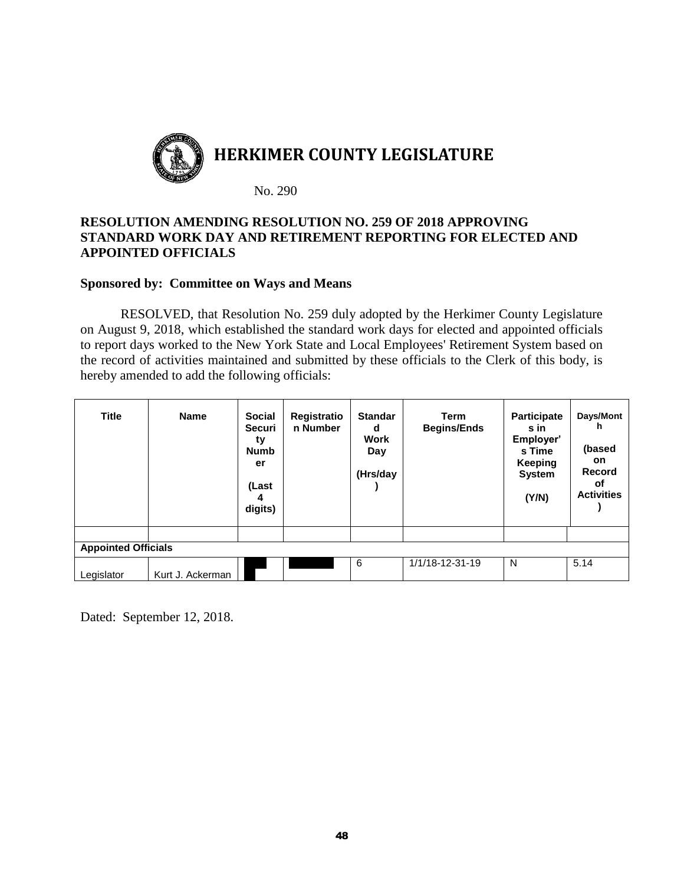

# **RESOLUTION AMENDING RESOLUTION NO. 259 OF 2018 APPROVING STANDARD WORK DAY AND RETIREMENT REPORTING FOR ELECTED AND APPOINTED OFFICIALS**

## **Sponsored by: Committee on Ways and Means**

RESOLVED, that Resolution No. 259 duly adopted by the Herkimer County Legislature on August 9, 2018, which established the standard work days for elected and appointed officials to report days worked to the New York State and Local Employees' Retirement System based on the record of activities maintained and submitted by these officials to the Clerk of this body, is hereby amended to add the following officials:

| <b>Title</b><br><b>Appointed Officials</b> | <b>Name</b>      | <b>Social</b><br><b>Securi</b><br>ty<br><b>Numb</b><br>er<br>(Last<br>4<br>digits) | Registratio<br>n Number | <b>Standar</b><br>d<br><b>Work</b><br>Day<br>(Hrs/day | <b>Term</b><br><b>Begins/Ends</b> | <b>Participate</b><br>s in<br>Employer'<br>s Time<br><b>Keeping</b><br><b>System</b><br>(Y/N) | Days/Mont<br>h<br>(based<br><b>on</b><br><b>Record</b><br>οf<br><b>Activities</b> |
|--------------------------------------------|------------------|------------------------------------------------------------------------------------|-------------------------|-------------------------------------------------------|-----------------------------------|-----------------------------------------------------------------------------------------------|-----------------------------------------------------------------------------------|
|                                            |                  |                                                                                    |                         | 6                                                     | 1/1/18-12-31-19                   | N                                                                                             | 5.14                                                                              |
| Legislator                                 | Kurt J. Ackerman |                                                                                    |                         |                                                       |                                   |                                                                                               |                                                                                   |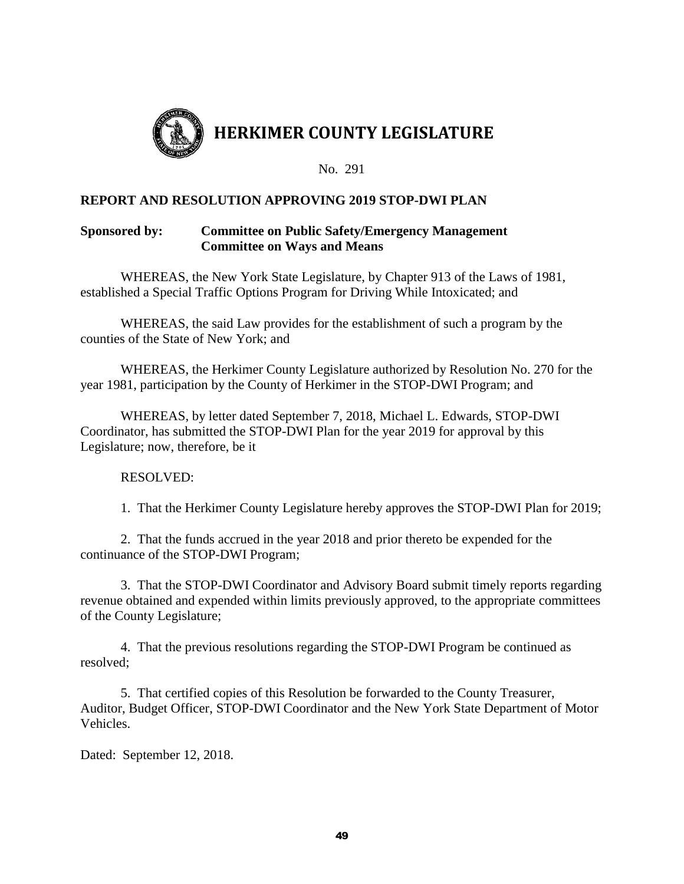

# **REPORT AND RESOLUTION APPROVING 2019 STOP-DWI PLAN**

# **Sponsored by: Committee on Public Safety/Emergency Management Committee on Ways and Means**

WHEREAS, the New York State Legislature, by Chapter 913 of the Laws of 1981, established a Special Traffic Options Program for Driving While Intoxicated; and

WHEREAS, the said Law provides for the establishment of such a program by the counties of the State of New York; and

WHEREAS, the Herkimer County Legislature authorized by Resolution No. 270 for the year 1981, participation by the County of Herkimer in the STOP-DWI Program; and

WHEREAS, by letter dated September 7, 2018, Michael L. Edwards, STOP-DWI Coordinator, has submitted the STOP-DWI Plan for the year 2019 for approval by this Legislature; now, therefore, be it

RESOLVED:

1. That the Herkimer County Legislature hereby approves the STOP-DWI Plan for 2019;

2. That the funds accrued in the year 2018 and prior thereto be expended for the continuance of the STOP-DWI Program;

3. That the STOP-DWI Coordinator and Advisory Board submit timely reports regarding revenue obtained and expended within limits previously approved, to the appropriate committees of the County Legislature;

4. That the previous resolutions regarding the STOP-DWI Program be continued as resolved;

5. That certified copies of this Resolution be forwarded to the County Treasurer, Auditor, Budget Officer, STOP-DWI Coordinator and the New York State Department of Motor Vehicles.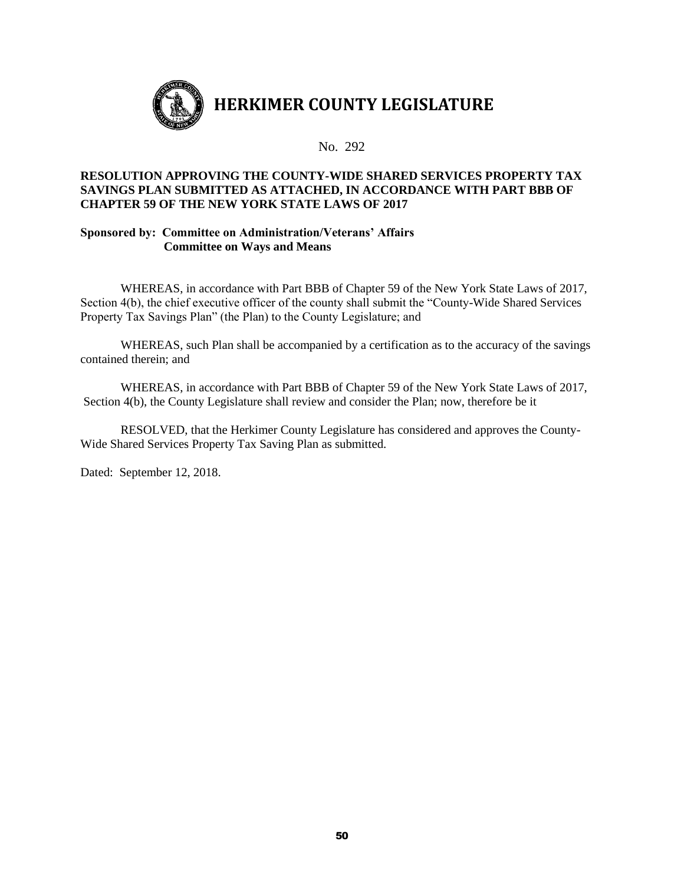

### **RESOLUTION APPROVING THE COUNTY-WIDE SHARED SERVICES PROPERTY TAX SAVINGS PLAN SUBMITTED AS ATTACHED, IN ACCORDANCE WITH PART BBB OF CHAPTER 59 OF THE NEW YORK STATE LAWS OF 2017**

#### **Sponsored by: Committee on Administration/Veterans' Affairs Committee on Ways and Means**

WHEREAS, in accordance with Part BBB of Chapter 59 of the New York State Laws of 2017, Section 4(b), the chief executive officer of the county shall submit the "County-Wide Shared Services Property Tax Savings Plan" (the Plan) to the County Legislature; and

WHEREAS, such Plan shall be accompanied by a certification as to the accuracy of the savings contained therein; and

WHEREAS, in accordance with Part BBB of Chapter 59 of the New York State Laws of 2017, Section 4(b), the County Legislature shall review and consider the Plan; now, therefore be it

RESOLVED, that the Herkimer County Legislature has considered and approves the County-Wide Shared Services Property Tax Saving Plan as submitted.